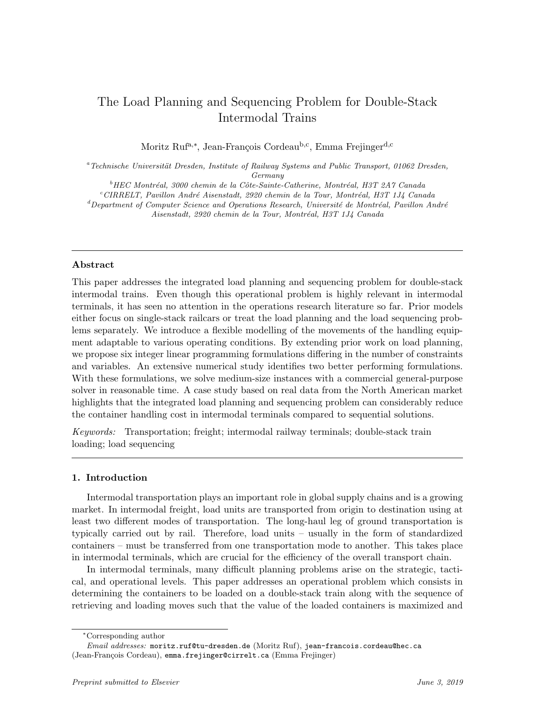# The Load Planning and Sequencing Problem for Double-Stack Intermodal Trains

Moritz Ruf<sup>a,∗</sup>, Jean-François Cordeau<sup>b,c</sup>, Emma Frejinger<sup>d,c</sup>

<sup>a</sup>Technische Universität Dresden, Institute of Railway Systems and Public Transport, 01062 Dresden, Germany

 $^{b}$ HEC Montréal, 3000 chemin de la Côte-Sainte-Catherine, Montréal, H3T 2A7 Canada

 $c^c$ CIRRELT, Pavillon André Aisenstadt, 2920 chemin de la Tour, Montréal, H3T 1J4 Canada

 ${}^{d}$ Department of Computer Science and Operations Research, Université de Montréal, Pavillon André

Aisenstadt, 2920 chemin de la Tour, Montréal, H3T 1J4 Canada

# Abstract

This paper addresses the integrated load planning and sequencing problem for double-stack intermodal trains. Even though this operational problem is highly relevant in intermodal terminals, it has seen no attention in the operations research literature so far. Prior models either focus on single-stack railcars or treat the load planning and the load sequencing problems separately. We introduce a flexible modelling of the movements of the handling equipment adaptable to various operating conditions. By extending prior work on load planning, we propose six integer linear programming formulations differing in the number of constraints and variables. An extensive numerical study identifies two better performing formulations. With these formulations, we solve medium-size instances with a commercial general-purpose solver in reasonable time. A case study based on real data from the North American market highlights that the integrated load planning and sequencing problem can considerably reduce the container handling cost in intermodal terminals compared to sequential solutions.

Keywords: Transportation; freight; intermodal railway terminals; double-stack train loading; load sequencing

# 1. Introduction

Intermodal transportation plays an important role in global supply chains and is a growing market. In intermodal freight, load units are transported from origin to destination using at least two different modes of transportation. The long-haul leg of ground transportation is typically carried out by rail. Therefore, load units – usually in the form of standardized containers – must be transferred from one transportation mode to another. This takes place in intermodal terminals, which are crucial for the efficiency of the overall transport chain.

In intermodal terminals, many difficult planning problems arise on the strategic, tactical, and operational levels. This paper addresses an operational problem which consists in determining the containers to be loaded on a double-stack train along with the sequence of retrieving and loading moves such that the value of the loaded containers is maximized and

<sup>∗</sup>Corresponding author

Email addresses: moritz.ruf@tu-dresden.de (Moritz Ruf), jean-francois.cordeau@hec.ca (Jean-François Cordeau), emma.frejinger@cirrelt.ca (Emma Frejinger)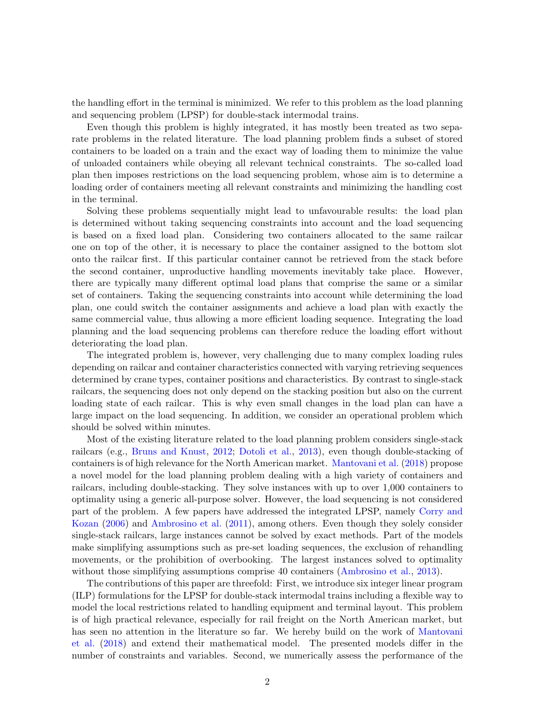the handling effort in the terminal is minimized. We refer to this problem as the load planning and sequencing problem (LPSP) for double-stack intermodal trains.

Even though this problem is highly integrated, it has mostly been treated as two separate problems in the related literature. The load planning problem finds a subset of stored containers to be loaded on a train and the exact way of loading them to minimize the value of unloaded containers while obeying all relevant technical constraints. The so-called load plan then imposes restrictions on the load sequencing problem, whose aim is to determine a loading order of containers meeting all relevant constraints and minimizing the handling cost in the terminal.

Solving these problems sequentially might lead to unfavourable results: the load plan is determined without taking sequencing constraints into account and the load sequencing is based on a fixed load plan. Considering two containers allocated to the same railcar one on top of the other, it is necessary to place the container assigned to the bottom slot onto the railcar first. If this particular container cannot be retrieved from the stack before the second container, unproductive handling movements inevitably take place. However, there are typically many different optimal load plans that comprise the same or a similar set of containers. Taking the sequencing constraints into account while determining the load plan, one could switch the container assignments and achieve a load plan with exactly the same commercial value, thus allowing a more efficient loading sequence. Integrating the load planning and the load sequencing problems can therefore reduce the loading effort without deteriorating the load plan.

The integrated problem is, however, very challenging due to many complex loading rules depending on railcar and container characteristics connected with varying retrieving sequences determined by crane types, container positions and characteristics. By contrast to single-stack railcars, the sequencing does not only depend on the stacking position but also on the current loading state of each railcar. This is why even small changes in the load plan can have a large impact on the load sequencing. In addition, we consider an operational problem which should be solved within minutes.

Most of the existing literature related to the load planning problem considers single-stack railcars (e.g., [Bruns and Knust,](#page-27-0) [2012;](#page-27-0) [Dotoli et al.,](#page-28-0) [2013\)](#page-28-0), even though double-stacking of containers is of high relevance for the North American market. [Mantovani et al.](#page-28-1) [\(2018\)](#page-28-1) propose a novel model for the load planning problem dealing with a high variety of containers and railcars, including double-stacking. They solve instances with up to over 1,000 containers to optimality using a generic all-purpose solver. However, the load sequencing is not considered part of the problem. A few papers have addressed the integrated LPSP, namely [Corry and](#page-28-2) [Kozan](#page-28-2) [\(2006\)](#page-28-2) and [Ambrosino et al.](#page-27-1) [\(2011\)](#page-27-1), among others. Even though they solely consider single-stack railcars, large instances cannot be solved by exact methods. Part of the models make simplifying assumptions such as pre-set loading sequences, the exclusion of rehandling movements, or the prohibition of overbooking. The largest instances solved to optimality without those simplifying assumptions comprise 40 containers [\(Ambrosino et al.,](#page-27-2) [2013\)](#page-27-2).

The contributions of this paper are threefold: First, we introduce six integer linear program (ILP) formulations for the LPSP for double-stack intermodal trains including a flexible way to model the local restrictions related to handling equipment and terminal layout. This problem is of high practical relevance, especially for rail freight on the North American market, but has seen no attention in the literature so far. We hereby build on the work of [Mantovani](#page-28-1) [et al.](#page-28-1) [\(2018\)](#page-28-1) and extend their mathematical model. The presented models differ in the number of constraints and variables. Second, we numerically assess the performance of the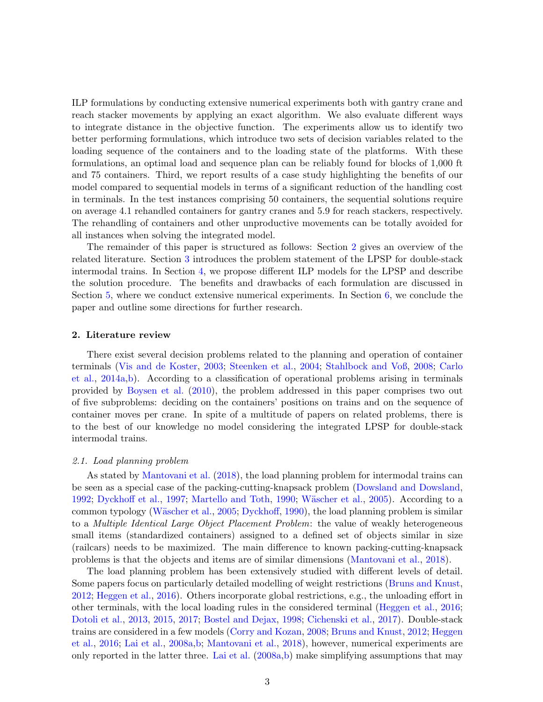ILP formulations by conducting extensive numerical experiments both with gantry crane and reach stacker movements by applying an exact algorithm. We also evaluate different ways to integrate distance in the objective function. The experiments allow us to identify two better performing formulations, which introduce two sets of decision variables related to the loading sequence of the containers and to the loading state of the platforms. With these formulations, an optimal load and sequence plan can be reliably found for blocks of 1,000 ft and 75 containers. Third, we report results of a case study highlighting the benefits of our model compared to sequential models in terms of a significant reduction of the handling cost in terminals. In the test instances comprising 50 containers, the sequential solutions require on average 4.1 rehandled containers for gantry cranes and 5.9 for reach stackers, respectively. The rehandling of containers and other unproductive movements can be totally avoided for all instances when solving the integrated model.

The remainder of this paper is structured as follows: Section [2](#page-2-0) gives an overview of the related literature. Section [3](#page-5-0) introduces the problem statement of the LPSP for double-stack intermodal trains. In Section [4,](#page-9-0) we propose different ILP models for the LPSP and describe the solution procedure. The benefits and drawbacks of each formulation are discussed in Section [5,](#page-18-0) where we conduct extensive numerical experiments. In Section [6,](#page-25-0) we conclude the paper and outline some directions for further research.

#### <span id="page-2-0"></span>2. Literature review

There exist several decision problems related to the planning and operation of container terminals [\(Vis and de Koster,](#page-29-0) [2003;](#page-29-0) [Steenken et al.,](#page-29-1) [2004;](#page-29-1) [Stahlbock and Voß,](#page-29-2) [2008;](#page-29-2) [Carlo](#page-27-3) [et al.,](#page-27-3) [2014a](#page-27-3)[,b\)](#page-27-4). According to a classification of operational problems arising in terminals provided by [Boysen et al.](#page-27-5) [\(2010\)](#page-27-5), the problem addressed in this paper comprises two out of five subproblems: deciding on the containers' positions on trains and on the sequence of container moves per crane. In spite of a multitude of papers on related problems, there is to the best of our knowledge no model considering the integrated LPSP for double-stack intermodal trains.

#### <span id="page-2-1"></span>2.1. Load planning problem

As stated by [Mantovani et al.](#page-28-1) [\(2018\)](#page-28-1), the load planning problem for intermodal trains can be seen as a special case of the packing-cutting-knapsack problem [\(Dowsland and Dowsland,](#page-28-3) [1992;](#page-28-3) [Dyckhoff et al.,](#page-28-4) [1997;](#page-28-4) [Martello and Toth,](#page-28-5) [1990;](#page-28-5) Wäscher et al., [2005\)](#page-29-3). According to a common typology (Wäscher et al., [2005;](#page-29-3) [Dyckhoff,](#page-28-6) [1990\)](#page-28-6), the load planning problem is similar to a Multiple Identical Large Object Placement Problem: the value of weakly heterogeneous small items (standardized containers) assigned to a defined set of objects similar in size (railcars) needs to be maximized. The main difference to known packing-cutting-knapsack problems is that the objects and items are of similar dimensions [\(Mantovani et al.,](#page-28-1) [2018\)](#page-28-1).

The load planning problem has been extensively studied with different levels of detail. Some papers focus on particularly detailed modelling of weight restrictions [\(Bruns and Knust,](#page-27-0) [2012;](#page-27-0) [Heggen et al.,](#page-28-7) [2016\)](#page-28-7). Others incorporate global restrictions, e.g., the unloading effort in other terminals, with the local loading rules in the considered terminal [\(Heggen et al.,](#page-28-7) [2016;](#page-28-7) [Dotoli et al.,](#page-28-0) [2013,](#page-28-0) [2015,](#page-28-8) [2017;](#page-28-9) [Bostel and Dejax,](#page-27-6) [1998;](#page-27-6) [Cichenski et al.,](#page-28-10) [2017\)](#page-28-10). Double-stack trains are considered in a few models [\(Corry and Kozan,](#page-28-11) [2008;](#page-28-11) [Bruns and Knust,](#page-27-0) [2012;](#page-27-0) [Heggen](#page-28-7) [et al.,](#page-28-7) [2016;](#page-28-7) [Lai et al.,](#page-28-12) [2008a,](#page-28-12)[b;](#page-28-13) [Mantovani et al.,](#page-28-1) [2018\)](#page-28-1), however, numerical experiments are only reported in the latter three. [Lai et al.](#page-28-12) [\(2008a,](#page-28-12)[b\)](#page-28-13) make simplifying assumptions that may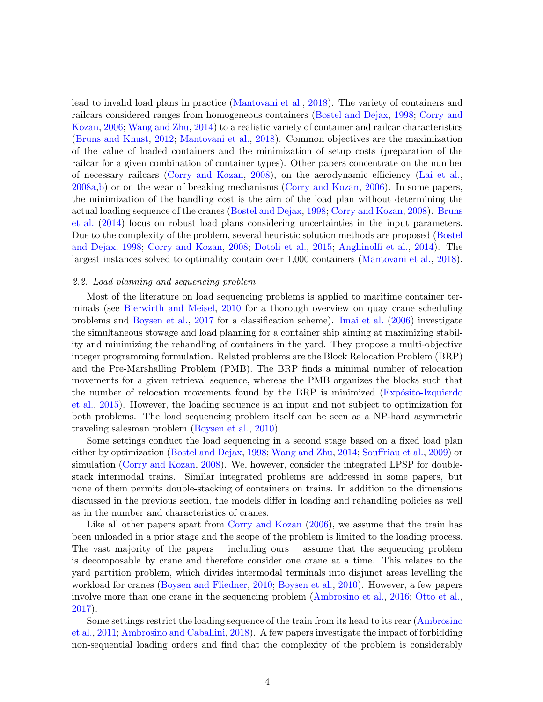lead to invalid load plans in practice [\(Mantovani et al.,](#page-28-1) [2018\)](#page-28-1). The variety of containers and railcars considered ranges from homogeneous containers [\(Bostel and Dejax,](#page-27-6) [1998;](#page-27-6) [Corry and](#page-28-2) [Kozan,](#page-28-2) [2006;](#page-28-2) [Wang and Zhu,](#page-29-4) [2014\)](#page-29-4) to a realistic variety of container and railcar characteristics [\(Bruns and Knust,](#page-27-0) [2012;](#page-27-0) [Mantovani et al.,](#page-28-1) [2018\)](#page-28-1). Common objectives are the maximization of the value of loaded containers and the minimization of setup costs (preparation of the railcar for a given combination of container types). Other papers concentrate on the number of necessary railcars [\(Corry and Kozan,](#page-28-11) [2008\)](#page-28-11), on the aerodynamic efficiency [\(Lai et al.,](#page-28-12) [2008a](#page-28-12)[,b\)](#page-28-13) or on the wear of breaking mechanisms [\(Corry and Kozan,](#page-28-2) [2006\)](#page-28-2). In some papers, the minimization of the handling cost is the aim of the load plan without determining the actual loading sequence of the cranes [\(Bostel and Dejax,](#page-27-6) [1998;](#page-27-6) [Corry and Kozan,](#page-28-11) [2008\)](#page-28-11). [Bruns](#page-27-7) [et al.](#page-27-7) [\(2014\)](#page-27-7) focus on robust load plans considering uncertainties in the input parameters. Due to the complexity of the problem, several heuristic solution methods are proposed [\(Bostel](#page-27-6) [and Dejax,](#page-27-6) [1998;](#page-27-6) [Corry and Kozan,](#page-28-11) [2008;](#page-28-11) [Dotoli et al.,](#page-28-8) [2015;](#page-28-8) [Anghinolfi et al.,](#page-27-8) [2014\)](#page-27-8). The largest instances solved to optimality contain over 1,000 containers [\(Mantovani et al.,](#page-28-1) [2018\)](#page-28-1).

#### 2.2. Load planning and sequencing problem

Most of the literature on load sequencing problems is applied to maritime container terminals (see [Bierwirth and Meisel,](#page-27-9) [2010](#page-27-9) for a thorough overview on quay crane scheduling problems and [Boysen et al.,](#page-27-10) [2017](#page-27-10) for a classification scheme). [Imai et al.](#page-28-14) [\(2006\)](#page-28-14) investigate the simultaneous stowage and load planning for a container ship aiming at maximizing stability and minimizing the rehandling of containers in the yard. They propose a multi-objective integer programming formulation. Related problems are the Block Relocation Problem (BRP) and the Pre-Marshalling Problem (PMB). The BRP finds a minimal number of relocation movements for a given retrieval sequence, whereas the PMB organizes the blocks such that the number of relocation movements found by the BRP is minimized (Expósito-Izquierdo [et al.,](#page-28-15) [2015\)](#page-28-15). However, the loading sequence is an input and not subject to optimization for both problems. The load sequencing problem itself can be seen as a NP-hard asymmetric traveling salesman problem [\(Boysen et al.,](#page-27-5) [2010\)](#page-27-5).

Some settings conduct the load sequencing in a second stage based on a fixed load plan either by optimization [\(Bostel and Dejax,](#page-27-6) [1998;](#page-27-6) [Wang and Zhu,](#page-29-4) [2014;](#page-29-4) [Souffriau et al.,](#page-29-5) [2009\)](#page-29-5) or simulation [\(Corry and Kozan,](#page-28-11) [2008\)](#page-28-11). We, however, consider the integrated LPSP for doublestack intermodal trains. Similar integrated problems are addressed in some papers, but none of them permits double-stacking of containers on trains. In addition to the dimensions discussed in the previous section, the models differ in loading and rehandling policies as well as in the number and characteristics of cranes.

Like all other papers apart from [Corry and Kozan](#page-28-2) [\(2006\)](#page-28-2), we assume that the train has been unloaded in a prior stage and the scope of the problem is limited to the loading process. The vast majority of the papers – including ours – assume that the sequencing problem is decomposable by crane and therefore consider one crane at a time. This relates to the yard partition problem, which divides intermodal terminals into disjunct areas levelling the workload for cranes [\(Boysen and Fliedner,](#page-27-11) [2010;](#page-27-11) [Boysen et al.,](#page-27-5) [2010\)](#page-27-5). However, a few papers involve more than one crane in the sequencing problem [\(Ambrosino et al.,](#page-26-0) [2016;](#page-26-0) [Otto et al.,](#page-28-16) [2017\)](#page-28-16).

Some settings restrict the loading sequence of the train from its head to its rear [\(Ambrosino](#page-27-1) [et al.,](#page-27-1) [2011;](#page-27-1) [Ambrosino and Caballini,](#page-27-12) [2018\)](#page-27-12). A few papers investigate the impact of forbidding non-sequential loading orders and find that the complexity of the problem is considerably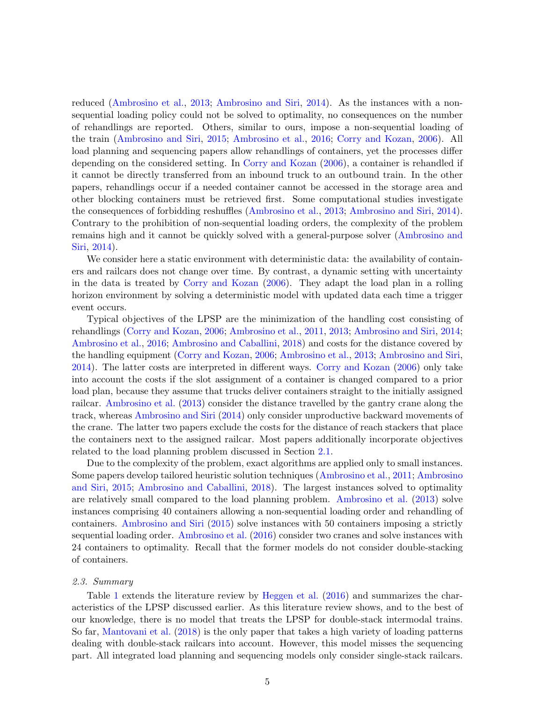reduced [\(Ambrosino et al.,](#page-27-2) [2013;](#page-27-2) [Ambrosino and Siri,](#page-27-13) [2014\)](#page-27-13). As the instances with a nonsequential loading policy could not be solved to optimality, no consequences on the number of rehandlings are reported. Others, similar to ours, impose a non-sequential loading of the train [\(Ambrosino and Siri,](#page-27-14) [2015;](#page-27-14) [Ambrosino et al.,](#page-26-0) [2016;](#page-26-0) [Corry and Kozan,](#page-28-2) [2006\)](#page-28-2). All load planning and sequencing papers allow rehandlings of containers, yet the processes differ depending on the considered setting. In [Corry and Kozan](#page-28-2) [\(2006\)](#page-28-2), a container is rehandled if it cannot be directly transferred from an inbound truck to an outbound train. In the other papers, rehandlings occur if a needed container cannot be accessed in the storage area and other blocking containers must be retrieved first. Some computational studies investigate the consequences of forbidding reshuffles [\(Ambrosino et al.,](#page-27-2) [2013;](#page-27-2) [Ambrosino and Siri,](#page-27-13) [2014\)](#page-27-13). Contrary to the prohibition of non-sequential loading orders, the complexity of the problem remains high and it cannot be quickly solved with a general-purpose solver [\(Ambrosino and](#page-27-13) [Siri,](#page-27-13) [2014\)](#page-27-13).

We consider here a static environment with deterministic data: the availability of containers and railcars does not change over time. By contrast, a dynamic setting with uncertainty in the data is treated by [Corry and Kozan](#page-28-2) [\(2006\)](#page-28-2). They adapt the load plan in a rolling horizon environment by solving a deterministic model with updated data each time a trigger event occurs.

Typical objectives of the LPSP are the minimization of the handling cost consisting of rehandlings [\(Corry and Kozan,](#page-28-2) [2006;](#page-28-2) [Ambrosino et al.,](#page-27-1) [2011,](#page-27-1) [2013;](#page-27-2) [Ambrosino and Siri,](#page-27-13) [2014;](#page-27-13) [Ambrosino et al.,](#page-26-0) [2016;](#page-26-0) [Ambrosino and Caballini,](#page-27-12) [2018\)](#page-27-12) and costs for the distance covered by the handling equipment [\(Corry and Kozan,](#page-28-2) [2006;](#page-28-2) [Ambrosino et al.,](#page-27-2) [2013;](#page-27-2) [Ambrosino and Siri,](#page-27-13) [2014\)](#page-27-13). The latter costs are interpreted in different ways. [Corry and Kozan](#page-28-2) [\(2006\)](#page-28-2) only take into account the costs if the slot assignment of a container is changed compared to a prior load plan, because they assume that trucks deliver containers straight to the initially assigned railcar. [Ambrosino et al.](#page-27-2) [\(2013\)](#page-27-2) consider the distance travelled by the gantry crane along the track, whereas [Ambrosino and Siri](#page-27-13) [\(2014\)](#page-27-13) only consider unproductive backward movements of the crane. The latter two papers exclude the costs for the distance of reach stackers that place the containers next to the assigned railcar. Most papers additionally incorporate objectives related to the load planning problem discussed in Section [2.1.](#page-2-1)

Due to the complexity of the problem, exact algorithms are applied only to small instances. Some papers develop tailored heuristic solution techniques [\(Ambrosino et al.,](#page-27-1) [2011;](#page-27-1) [Ambrosino](#page-27-14) [and Siri,](#page-27-14) [2015;](#page-27-14) [Ambrosino and Caballini,](#page-27-12) [2018\)](#page-27-12). The largest instances solved to optimality are relatively small compared to the load planning problem. [Ambrosino et al.](#page-27-2) [\(2013\)](#page-27-2) solve instances comprising 40 containers allowing a non-sequential loading order and rehandling of containers. [Ambrosino and Siri](#page-27-14) [\(2015\)](#page-27-14) solve instances with 50 containers imposing a strictly sequential loading order. [Ambrosino et al.](#page-26-0) [\(2016\)](#page-26-0) consider two cranes and solve instances with 24 containers to optimality. Recall that the former models do not consider double-stacking of containers.

# 2.3. Summary

Table [1](#page-5-1) extends the literature review by [Heggen et al.](#page-28-7) [\(2016\)](#page-28-7) and summarizes the characteristics of the LPSP discussed earlier. As this literature review shows, and to the best of our knowledge, there is no model that treats the LPSP for double-stack intermodal trains. So far, [Mantovani et al.](#page-28-1) [\(2018\)](#page-28-1) is the only paper that takes a high variety of loading patterns dealing with double-stack railcars into account. However, this model misses the sequencing part. All integrated load planning and sequencing models only consider single-stack railcars.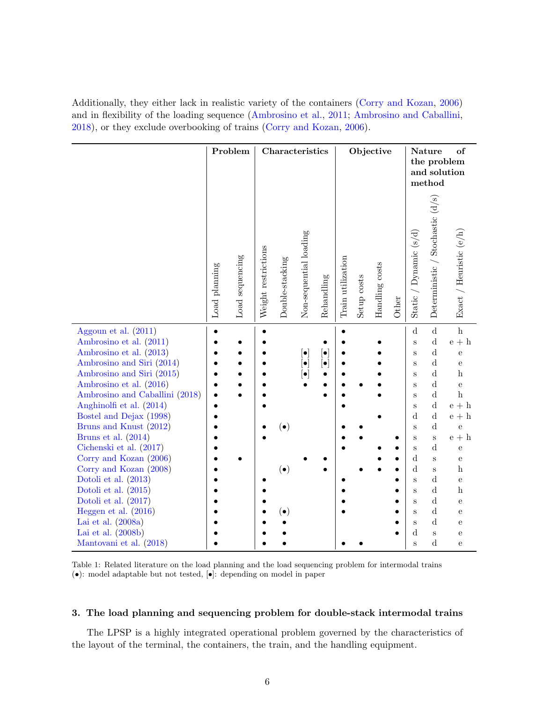Additionally, they either lack in realistic variety of the containers [\(Corry and Kozan,](#page-28-2) [2006\)](#page-28-2) and in flexibility of the loading sequence [\(Ambrosino et al.,](#page-27-1) [2011;](#page-27-1) [Ambrosino and Caballini,](#page-27-12) [2018\)](#page-27-12), or they exclude overbooking of trains [\(Corry and Kozan,](#page-28-2) [2006\)](#page-28-2).

<span id="page-5-1"></span>

|                                                        | Problem       |                 | Characteristics     |                 |                                                      |                          |                   | Objective   |                |       |                                 | Nature<br>of<br>the problem<br>and solution<br>method |                                             |  |
|--------------------------------------------------------|---------------|-----------------|---------------------|-----------------|------------------------------------------------------|--------------------------|-------------------|-------------|----------------|-------|---------------------------------|-------------------------------------------------------|---------------------------------------------|--|
|                                                        | Load planning | Load sequencing | Weight restrictions | Double-stacking | Non-sequential loading                               | Rehandling               | Train utilization | Setup costs | Handling costs | Other | / Dynamic $(s/d)$<br>Static $/$ | Deterministic / Stochastic (d/s)                      | Exact / Heuristic $(e/h)$                   |  |
| Aggoun et al. $(2011)$<br>Ambrosino et al. (2011)      | $\bullet$     |                 |                     |                 |                                                      |                          |                   |             |                |       | $\mathbf d$<br>$\rm S$          | $\rm d$<br>${\rm d}$                                  | $\mathbf{h}$<br>$\mathbf{e}$ + $\mathbf{h}$ |  |
| Ambrosino et al. (2013)                                |               |                 |                     |                 | $\left[ \bullet \right]$                             | $\left[ \bullet \right]$ |                   |             |                |       | $\rm S$                         | $\rm d$<br>$\rm d$                                    | $\rm e$                                     |  |
| Ambrosino and Siri (2014)<br>Ambrosino and Siri (2015) |               |                 |                     |                 | $\left[ \bullet \right]$<br>$\left[ \bullet \right]$ | $\left[ \bullet \right]$ |                   |             |                |       | $\rm S$<br>S                    | $\rm d$                                               | ${\bf e}$<br>$\,$ h                         |  |
| Ambrosino et al. (2016)                                |               |                 |                     |                 |                                                      |                          |                   |             |                |       | S                               | $\rm d$                                               | $\rm e$                                     |  |
| Ambrosino and Caballini (2018)                         |               |                 |                     |                 |                                                      |                          |                   |             |                |       | S                               | $\mathbf d$                                           | $\,$ h                                      |  |
| Anghinolfi et al. (2014)                               |               |                 |                     |                 |                                                      |                          |                   |             |                |       | S                               | $\mathbf d$                                           | $\mathbf{e}$ + $\mathbf{h}$                 |  |
| Bostel and Dejax (1998)                                |               |                 |                     |                 |                                                      |                          |                   |             |                |       | $\mathbf d$                     | $\rm d$                                               | $\mathbf{e}$ + $\mathbf{h}$                 |  |
| Bruns and Knust (2012)                                 |               |                 |                     | $(\bullet)$     |                                                      |                          |                   |             |                |       | S                               | $\rm d$                                               | $\mathbf e$                                 |  |
| Bruns et al. (2014)                                    |               |                 |                     |                 |                                                      |                          |                   |             |                |       | S                               | $\, {\bf S}$                                          | $\mathbf{e}+\mathbf{h}$                     |  |
| Cichenski et al. (2017)                                |               |                 |                     |                 |                                                      |                          |                   |             |                |       | S                               | $\mathbf d$                                           | ${\bf e}$                                   |  |
| Corry and Kozan (2006)                                 |               |                 |                     |                 |                                                      |                          |                   |             |                |       | $\mathbf d$                     | $\mathbf{s}$                                          | ${\bf e}$                                   |  |
| Corry and Kozan (2008)                                 |               |                 |                     | $(\bullet)$     |                                                      |                          |                   |             |                |       | $\mathbf d$                     | S                                                     | $\mathbf h$                                 |  |
| Dotoli et al. $(2013)$<br>Dotoli et al. $(2015)$       |               |                 |                     |                 |                                                      |                          |                   |             |                |       | S                               | d<br>$\mathbf d$                                      | $\mathbf{e}$<br>$\boldsymbol{\mathrm{h}}$   |  |
| Dotoli et al. $(2017)$                                 |               |                 |                     |                 |                                                      |                          |                   |             |                |       | S<br>S                          | $\mathbf d$                                           | ${\bf e}$                                   |  |
| Heggen et al. $(2016)$                                 |               |                 |                     | $\bullet$       |                                                      |                          |                   |             |                |       | S                               | $\mathbf d$                                           | ${\bf e}$                                   |  |
| Lai et al. $(2008a)$                                   |               |                 |                     |                 |                                                      |                          |                   |             |                |       | S                               | $\mathbf d$                                           | ${\bf e}$                                   |  |
| Lai et al. $(2008b)$                                   |               |                 |                     |                 |                                                      |                          |                   |             |                |       | ${\rm d}$                       | $\mathbf S$                                           | ${\bf e}$                                   |  |
| Mantovani et al. (2018)                                |               |                 |                     |                 |                                                      |                          |                   |             |                |       | S                               | ${\rm d}$                                             | ${\bf e}$                                   |  |

Table 1: Related literature on the load planning and the load sequencing problem for intermodal trains (•): model adaptable but not tested, [•]: depending on model in paper

# <span id="page-5-0"></span>3. The load planning and sequencing problem for double-stack intermodal trains

The LPSP is a highly integrated operational problem governed by the characteristics of the layout of the terminal, the containers, the train, and the handling equipment.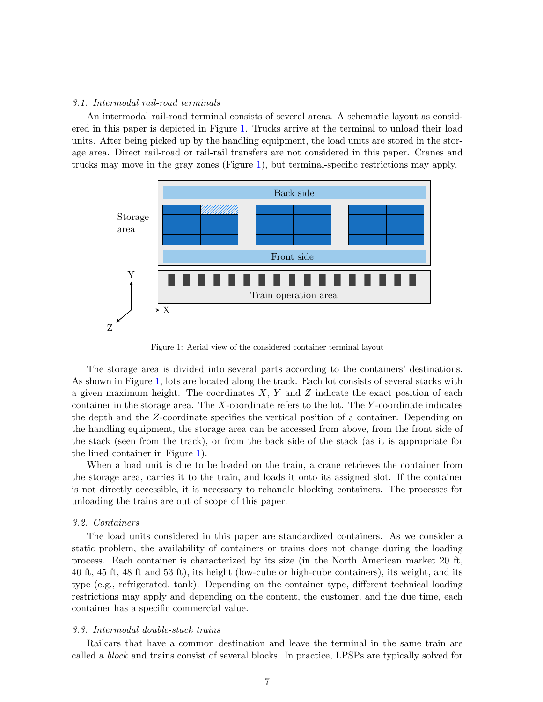### 3.1. Intermodal rail-road terminals

An intermodal rail-road terminal consists of several areas. A schematic layout as considered in this paper is depicted in Figure [1.](#page-6-0) Trucks arrive at the terminal to unload their load units. After being picked up by the handling equipment, the load units are stored in the storage area. Direct rail-road or rail-rail transfers are not considered in this paper. Cranes and trucks may move in the gray zones (Figure [1\)](#page-6-0), but terminal-specific restrictions may apply.

<span id="page-6-0"></span>

Figure 1: Aerial view of the considered container terminal layout

The storage area is divided into several parts according to the containers' destinations. As shown in Figure [1,](#page-6-0) lots are located along the track. Each lot consists of several stacks with a given maximum height. The coordinates  $X, Y$  and  $Z$  indicate the exact position of each container in the storage area. The  $X$ -coordinate refers to the lot. The  $Y$ -coordinate indicates the depth and the Z-coordinate specifies the vertical position of a container. Depending on the handling equipment, the storage area can be accessed from above, from the front side of the stack (seen from the track), or from the back side of the stack (as it is appropriate for the lined container in Figure [1\)](#page-6-0).

When a load unit is due to be loaded on the train, a crane retrieves the container from the storage area, carries it to the train, and loads it onto its assigned slot. If the container is not directly accessible, it is necessary to rehandle blocking containers. The processes for unloading the trains are out of scope of this paper.

#### 3.2. Containers

The load units considered in this paper are standardized containers. As we consider a static problem, the availability of containers or trains does not change during the loading process. Each container is characterized by its size (in the North American market 20 ft, 40 ft, 45 ft, 48 ft and 53 ft), its height (low-cube or high-cube containers), its weight, and its type (e.g., refrigerated, tank). Depending on the container type, different technical loading restrictions may apply and depending on the content, the customer, and the due time, each container has a specific commercial value.

# <span id="page-6-1"></span>3.3. Intermodal double-stack trains

Railcars that have a common destination and leave the terminal in the same train are called a block and trains consist of several blocks. In practice, LPSPs are typically solved for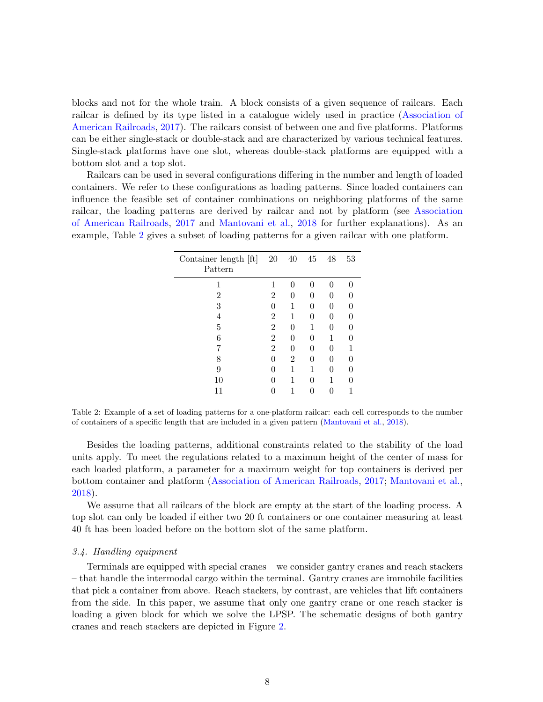blocks and not for the whole train. A block consists of a given sequence of railcars. Each railcar is defined by its type listed in a catalogue widely used in practice [\(Association of](#page-27-15) [American Railroads,](#page-27-15) [2017\)](#page-27-15). The railcars consist of between one and five platforms. Platforms can be either single-stack or double-stack and are characterized by various technical features. Single-stack platforms have one slot, whereas double-stack platforms are equipped with a bottom slot and a top slot.

<span id="page-7-0"></span>Railcars can be used in several configurations differing in the number and length of loaded containers. We refer to these configurations as loading patterns. Since loaded containers can influence the feasible set of container combinations on neighboring platforms of the same railcar, the loading patterns are derived by railcar and not by platform (see [Association](#page-27-15) [of American Railroads,](#page-27-15) [2017](#page-27-15) and [Mantovani et al.,](#page-28-1) [2018](#page-28-1) for further explanations). As an example, Table [2](#page-7-0) gives a subset of loading patterns for a given railcar with one platform.

| Container length [ft]<br>Pattern | 20             | 40 | 45 | 48 | 53 |
|----------------------------------|----------------|----|----|----|----|
| 1                                | 1              | 0  | O  | 0  |    |
| $\overline{2}$                   | 2              | 0  | 0  | 0  |    |
| 3                                | O              | 1  | 0  | 0  |    |
| 4                                | $\overline{2}$ | 1  | 0  | 0  |    |
| 5                                | 2              | 0  | 1  | 0  |    |
| 6                                | $\overline{2}$ | 0  | 0  | 1  |    |
|                                  | $\overline{2}$ | 0  | 0  | 0  |    |
| 8                                | 0              | 2  | 0  | 0  |    |
| 9                                |                |    | 1  | O  |    |
| 10                               |                |    | O  | 1  |    |
| 11                               |                |    |    |    |    |

Table 2: Example of a set of loading patterns for a one-platform railcar: each cell corresponds to the number of containers of a specific length that are included in a given pattern [\(Mantovani et al.,](#page-28-1) [2018\)](#page-28-1).

Besides the loading patterns, additional constraints related to the stability of the load units apply. To meet the regulations related to a maximum height of the center of mass for each loaded platform, a parameter for a maximum weight for top containers is derived per bottom container and platform [\(Association of American Railroads,](#page-27-15) [2017;](#page-27-15) [Mantovani et al.,](#page-28-1) [2018\)](#page-28-1).

We assume that all railcars of the block are empty at the start of the loading process. A top slot can only be loaded if either two 20 ft containers or one container measuring at least 40 ft has been loaded before on the bottom slot of the same platform.

#### 3.4. Handling equipment

Terminals are equipped with special cranes – we consider gantry cranes and reach stackers – that handle the intermodal cargo within the terminal. Gantry cranes are immobile facilities that pick a container from above. Reach stackers, by contrast, are vehicles that lift containers from the side. In this paper, we assume that only one gantry crane or one reach stacker is loading a given block for which we solve the LPSP. The schematic designs of both gantry cranes and reach stackers are depicted in Figure [2.](#page-8-0)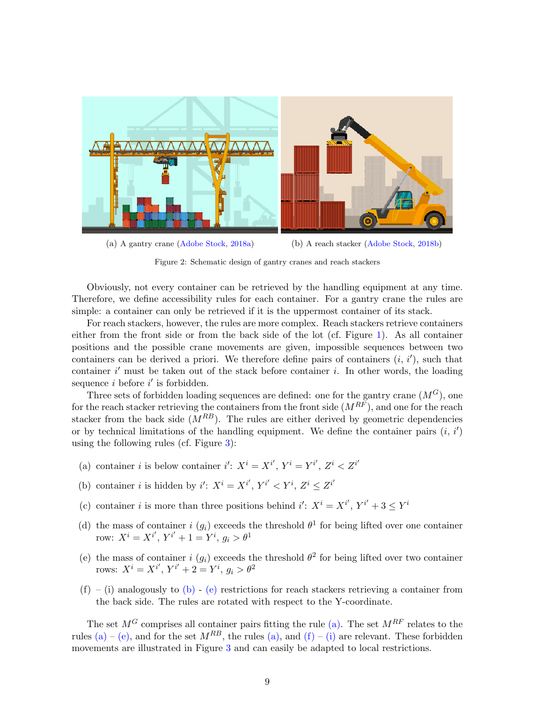<span id="page-8-0"></span>

(a) A gantry crane [\(Adobe Stock,](#page-26-2) [2018a\)](#page-26-2) (b) A reach stacker [\(Adobe Stock,](#page-26-3) [2018b\)](#page-26-3)

Figure 2: Schematic design of gantry cranes and reach stackers

Obviously, not every container can be retrieved by the handling equipment at any time. Therefore, we define accessibility rules for each container. For a gantry crane the rules are simple: a container can only be retrieved if it is the uppermost container of its stack.

For reach stackers, however, the rules are more complex. Reach stackers retrieve containers either from the front side or from the back side of the lot (cf. Figure [1\)](#page-6-0). As all container positions and the possible crane movements are given, impossible sequences between two containers can be derived a priori. We therefore define pairs of containers  $(i, i')$ , such that container  $i'$  must be taken out of the stack before container  $i$ . In other words, the loading sequence  $i$  before  $i'$  is forbidden.

Three sets of forbidden loading sequences are defined: one for the gantry crane  $(M<sup>G</sup>)$ , one for the reach stacker retrieving the containers from the front side  $(M^{RF})$ , and one for the reach stacker from the back side  $(M^{RB})$ . The rules are either derived by geometric dependencies or by technical limitations of the handling equipment. We define the container pairs  $(i, i')$ using the following rules (cf. Figure [3\)](#page-9-1):

- <span id="page-8-3"></span>(a) container *i* is below container *i'*:  $X^i = X^{i'}$ ,  $Y^i = Y^{i'}$ ,  $Z^i < Z^{i'}$
- <span id="page-8-1"></span>(b) container *i* is hidden by *i'*:  $X^i = X^{i'}$ ,  $Y^{i'} < Y^i$ ,  $Z^i \leq Z^{i'}$
- (c) container *i* is more than three positions behind  $i' : X^i = X^{i'}$ ,  $Y^{i'} + 3 \leq Y^i$
- (d) the mass of container i  $(g_i)$  exceeds the threshold  $\theta^1$  for being lifted over one container row:  $X^i = X^{i'}$ ,  $Y^{i'} + 1 = Y^i$ ,  $g_i > \theta^1$
- <span id="page-8-2"></span>(e) the mass of container i  $(g_i)$  exceeds the threshold  $\theta^2$  for being lifted over two container rows:  $X^i = X^{i'}$ ,  $Y^{i'} + 2 = Y^i$ ,  $g_i > \theta^2$
- <span id="page-8-4"></span> $(f) - (i)$  analogously to  $(b) - (e)$  $(b) - (e)$  $(b) - (e)$  restrictions for reach stackers retrieving a container from the back side. The rules are rotated with respect to the Y-coordinate.

The set  $M^G$  comprises all container pairs fitting the rule [\(a\).](#page-8-3) The set  $M^{RF}$  relates to the rules [\(a\)](#page-8-3) – [\(e\),](#page-8-2) and for the set  $M^{RB}$ , the rules [\(a\),](#page-8-3) and [\(f\)](#page-8-4) – [\(i\)](#page-8-4) are relevant. These forbidden movements are illustrated in Figure [3](#page-9-1) and can easily be adapted to local restrictions.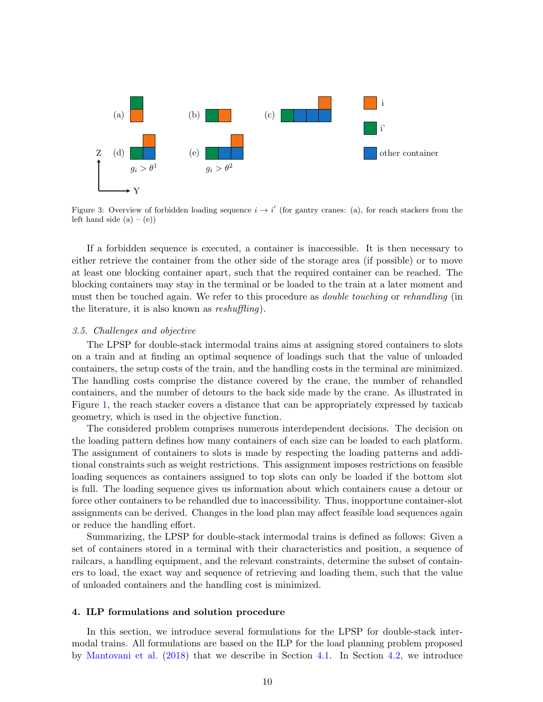<span id="page-9-1"></span>

Figure 3: Overview of forbidden loading sequence  $i \to i'$  (for gantry cranes: (a), for reach stackers from the left hand side  $(a) - (e)$ 

If a forbidden sequence is executed, a container is inaccessible. It is then necessary to either retrieve the container from the other side of the storage area (if possible) or to move at least one blocking container apart, such that the required container can be reached. The blocking containers may stay in the terminal or be loaded to the train at a later moment and must then be touched again. We refer to this procedure as double touching or rehandling (in the literature, it is also known as reshuffling).

#### 3.5. Challenges and objective

The LPSP for double-stack intermodal trains aims at assigning stored containers to slots on a train and at finding an optimal sequence of loadings such that the value of unloaded containers, the setup costs of the train, and the handling costs in the terminal are minimized. The handling costs comprise the distance covered by the crane, the number of rehandled containers, and the number of detours to the back side made by the crane. As illustrated in Figure [1,](#page-6-0) the reach stacker covers a distance that can be appropriately expressed by taxicab geometry, which is used in the objective function.

The considered problem comprises numerous interdependent decisions. The decision on the loading pattern defines how many containers of each size can be loaded to each platform. The assignment of containers to slots is made by respecting the loading patterns and additional constraints such as weight restrictions. This assignment imposes restrictions on feasible loading sequences as containers assigned to top slots can only be loaded if the bottom slot is full. The loading sequence gives us information about which containers cause a detour or force other containers to be rehandled due to inaccessibility. Thus, inopportune container-slot assignments can be derived. Changes in the load plan may affect feasible load sequences again or reduce the handling effort.

Summarizing, the LPSP for double-stack intermodal trains is defined as follows: Given a set of containers stored in a terminal with their characteristics and position, a sequence of railcars, a handling equipment, and the relevant constraints, determine the subset of containers to load, the exact way and sequence of retrieving and loading them, such that the value of unloaded containers and the handling cost is minimized.

#### <span id="page-9-0"></span>4. ILP formulations and solution procedure

In this section, we introduce several formulations for the LPSP for double-stack intermodal trains. All formulations are based on the ILP for the load planning problem proposed by [Mantovani et al.](#page-28-1) [\(2018\)](#page-28-1) that we describe in Section [4.1.](#page-10-0) In Section [4.2,](#page-12-0) we introduce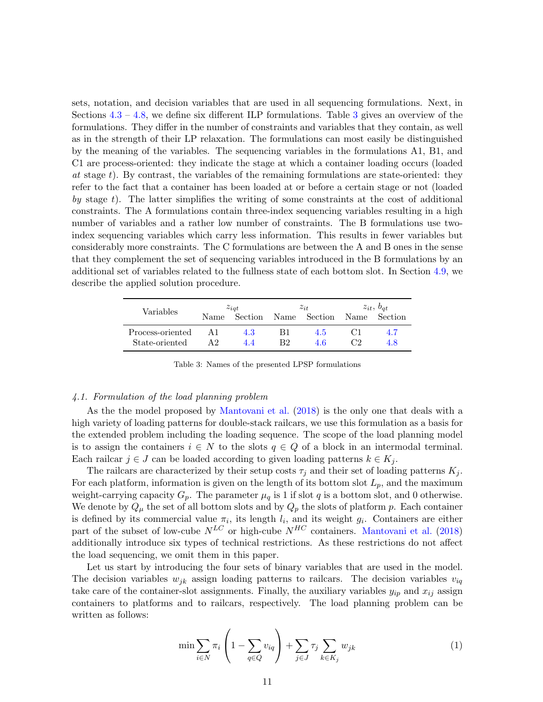sets, notation, and decision variables that are used in all sequencing formulations. Next, in Sections  $4.3 - 4.8$  $4.3 - 4.8$ , we define six different ILP formulations. Table [3](#page-10-1) gives an overview of the formulations. They differ in the number of constraints and variables that they contain, as well as in the strength of their LP relaxation. The formulations can most easily be distinguished by the meaning of the variables. The sequencing variables in the formulations A1, B1, and C1 are process-oriented: they indicate the stage at which a container loading occurs (loaded at stage t). By contrast, the variables of the remaining formulations are state-oriented: they refer to the fact that a container has been loaded at or before a certain stage or not (loaded by stage t). The latter simplifies the writing of some constraints at the cost of additional constraints. The A formulations contain three-index sequencing variables resulting in a high number of variables and a rather low number of constraints. The B formulations use twoindex sequencing variables which carry less information. This results in fewer variables but considerably more constraints. The C formulations are between the A and B ones in the sense that they complement the set of sequencing variables introduced in the B formulations by an additional set of variables related to the fullness state of each bottom slot. In Section [4.9,](#page-17-0) we describe the applied solution procedure.

<span id="page-10-1"></span>

| Variables        |      | $z_{iat}$ |    | $z_{it}$     | $z_{it}, b_{at}$ |         |  |
|------------------|------|-----------|----|--------------|------------------|---------|--|
|                  | Name | Section   |    | Name Section | Name             | Section |  |
| Process-oriented |      | 4.3       | Β1 | 4.5          |                  | 4.7     |  |
| State-oriented   |      | 4 A       | R2 | 46           | ී?               | 4.8     |  |

Table 3: Names of the presented LPSP formulations

#### <span id="page-10-0"></span>4.1. Formulation of the load planning problem

As the the model proposed by [Mantovani et al.](#page-28-1) [\(2018\)](#page-28-1) is the only one that deals with a high variety of loading patterns for double-stack railcars, we use this formulation as a basis for the extended problem including the loading sequence. The scope of the load planning model is to assign the containers  $i \in N$  to the slots  $q \in Q$  of a block in an intermodal terminal. Each railcar  $j \in J$  can be loaded according to given loading patterns  $k \in K_j$ .

The railcars are characterized by their setup costs  $\tau_j$  and their set of loading patterns  $K_j$ . For each platform, information is given on the length of its bottom slot  $L_p$ , and the maximum weight-carrying capacity  $G_p$ . The parameter  $\mu_q$  is 1 if slot q is a bottom slot, and 0 otherwise. We denote by  $Q_{\mu}$  the set of all bottom slots and by  $Q_p$  the slots of platform p. Each container is defined by its commercial value  $\pi_i$ , its length  $l_i$ , and its weight  $g_i$ . Containers are either part of the subset of low-cube  $N^{LC}$  or high-cube  $N^{HC}$  containers. [Mantovani et al.](#page-28-1) [\(2018\)](#page-28-1) additionally introduce six types of technical restrictions. As these restrictions do not affect the load sequencing, we omit them in this paper.

Let us start by introducing the four sets of binary variables that are used in the model. The decision variables  $w_{jk}$  assign loading patterns to railcars. The decision variables  $v_{iq}$ take care of the container-slot assignments. Finally, the auxiliary variables  $y_{ip}$  and  $x_{ij}$  assign containers to platforms and to railcars, respectively. The load planning problem can be written as follows:

<span id="page-10-2"></span>
$$
\min \sum_{i \in N} \pi_i \left( 1 - \sum_{q \in Q} v_{iq} \right) + \sum_{j \in J} \tau_j \sum_{k \in K_j} w_{jk} \tag{1}
$$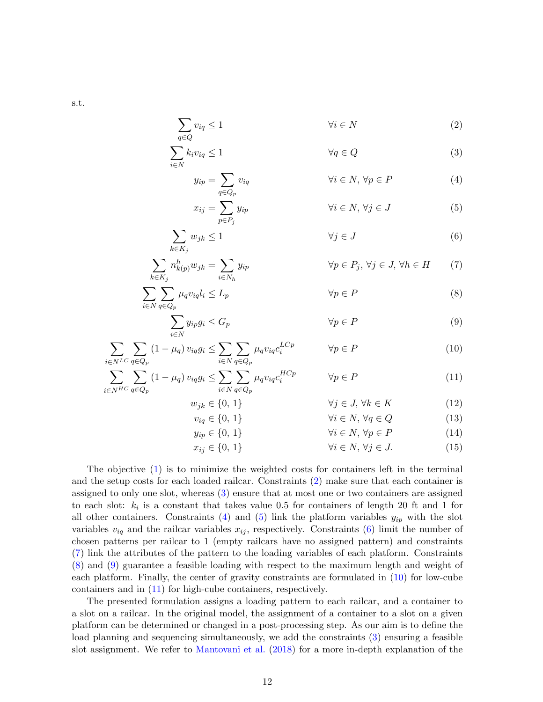$$
\, \, \text{s.t.} \,
$$

$$
\sum_{q \in Q} v_{iq} \le 1 \qquad \qquad \forall i \in N \tag{2}
$$

$$
\sum_{i \in N} k_i v_{iq} \le 1 \qquad \qquad \forall q \in Q \tag{3}
$$

<span id="page-11-3"></span><span id="page-11-2"></span><span id="page-11-1"></span><span id="page-11-0"></span>
$$
y_{ip} = \sum_{q \in Q_p} v_{iq} \qquad \forall i \in N, \forall p \in P \qquad (4)
$$

<span id="page-11-6"></span><span id="page-11-5"></span><span id="page-11-4"></span>
$$
x_{ij} = \sum_{p \in P_j} y_{ip} \qquad \forall i \in N, \forall j \in J \qquad (5)
$$

$$
\sum_{k \in K_j} w_{jk} \le 1 \qquad \qquad \forall j \in J \tag{6}
$$

$$
\sum_{k \in K_j} n_{k(p)}^h w_{jk} = \sum_{i \in N_h} y_{ip} \qquad \forall p \in P_j, \forall j \in J, \forall h \in H \qquad (7)
$$

$$
\sum_{i \in N} \sum_{q \in Q_p} \mu_q v_{iq} l_i \le L_p \qquad \forall p \in P \tag{8}
$$

$$
\sum_{i \in N} y_{ip} g_i \le G_p \qquad \qquad \forall p \in P \tag{9}
$$

$$
\sum_{i \in N^{LC}} \sum_{q \in Q_p} (1 - \mu_q) v_{iq} g_i \le \sum_{i \in N} \sum_{q \in Q_p} \mu_q v_{iq} c_i^{LCp} \qquad \forall p \in P
$$
\n(10)

$$
\sum_{i \in N^{HC}} \sum_{q \in Q_p} (1 - \mu_q) v_{iq} g_i \le \sum_{i \in N} \sum_{q \in Q_p} \mu_q v_{iq} c_i^{HCp} \qquad \forall p \in P
$$
\n(11)

<span id="page-11-9"></span><span id="page-11-8"></span><span id="page-11-7"></span>
$$
w_{jk} \in \{0, 1\} \qquad \forall j \in J, \forall k \in K \tag{12}
$$

$$
v_{iq} \in \{0, 1\} \qquad \forall i \in N, \forall q \in Q \qquad (13)
$$
  

$$
y_{ip} \in \{0, 1\} \qquad \forall i \in N, \forall p \in P \qquad (14)
$$

<span id="page-11-10"></span>
$$
x_{ij} \in \{0, 1\} \qquad \forall i \in N, \forall j \in J. \tag{15}
$$

The objective [\(1\)](#page-10-2) is to minimize the weighted costs for containers left in the terminal and the setup costs for each loaded railcar. Constraints [\(2\)](#page-11-0) make sure that each container is assigned to only one slot, whereas [\(3\)](#page-11-1) ensure that at most one or two containers are assigned to each slot:  $k_i$  is a constant that takes value 0.5 for containers of length 20 ft and 1 for all other containers. Constraints [\(4\)](#page-11-2) and [\(5\)](#page-11-3) link the platform variables  $y_{ip}$  with the slot variables  $v_{iq}$  and the railcar variables  $x_{ij}$ , respectively. Constraints [\(6\)](#page-11-4) limit the number of chosen patterns per railcar to 1 (empty railcars have no assigned pattern) and constraints [\(7\)](#page-11-5) link the attributes of the pattern to the loading variables of each platform. Constraints [\(8\)](#page-11-6) and [\(9\)](#page-11-7) guarantee a feasible loading with respect to the maximum length and weight of each platform. Finally, the center of gravity constraints are formulated in [\(10\)](#page-11-8) for low-cube containers and in [\(11\)](#page-11-9) for high-cube containers, respectively.

The presented formulation assigns a loading pattern to each railcar, and a container to a slot on a railcar. In the original model, the assignment of a container to a slot on a given platform can be determined or changed in a post-processing step. As our aim is to define the load planning and sequencing simultaneously, we add the constraints [\(3\)](#page-11-1) ensuring a feasible slot assignment. We refer to [Mantovani et al.](#page-28-1) [\(2018\)](#page-28-1) for a more in-depth explanation of the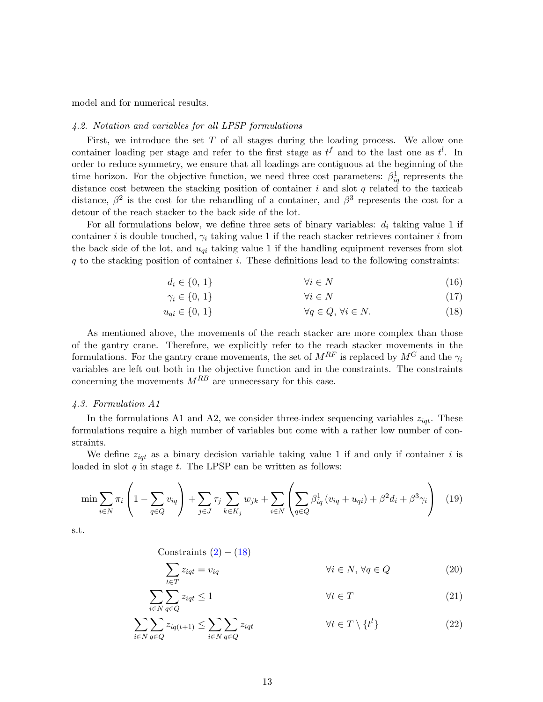model and for numerical results.

### <span id="page-12-0"></span>4.2. Notation and variables for all LPSP formulations

First, we introduce the set T of all stages during the loading process. We allow one container loading per stage and refer to the first stage as  $t^f$  and to the last one as  $t^l$ . In order to reduce symmetry, we ensure that all loadings are contiguous at the beginning of the time horizon. For the objective function, we need three cost parameters:  $\beta_{iq}^1$  represents the distance cost between the stacking position of container  $i$  and slot  $q$  related to the taxicab distance,  $\beta^2$  is the cost for the rehandling of a container, and  $\beta^3$  represents the cost for a detour of the reach stacker to the back side of the lot.

For all formulations below, we define three sets of binary variables:  $d_i$  taking value 1 if container i is double touched,  $\gamma_i$  taking value 1 if the reach stacker retrieves container i from the back side of the lot, and  $u_{qi}$  taking value 1 if the handling equipment reverses from slot  $q$  to the stacking position of container i. These definitions lead to the following constraints:

$$
d_i \in \{0, 1\} \qquad \qquad \forall i \in N \tag{16}
$$

<span id="page-12-2"></span>
$$
\gamma_i \in \{0, 1\} \qquad \qquad \forall i \in N \tag{17}
$$

$$
u_{qi} \in \{0, 1\} \qquad \qquad \forall q \in Q, \forall i \in N. \tag{18}
$$

As mentioned above, the movements of the reach stacker are more complex than those of the gantry crane. Therefore, we explicitly refer to the reach stacker movements in the formulations. For the gantry crane movements, the set of  $M^{RF}$  is replaced by  $M^G$  and the  $\gamma_i$ variables are left out both in the objective function and in the constraints. The constraints concerning the movements  $M^{RB}$  are unnecessary for this case.

#### <span id="page-12-1"></span>4.3. Formulation A1

In the formulations A1 and A2, we consider three-index sequencing variables  $z_{iqt}$ . These formulations require a high number of variables but come with a rather low number of constraints.

We define  $z_{iqt}$  as a binary decision variable taking value 1 if and only if container i is loaded in slot  $q$  in stage  $t$ . The LPSP can be written as follows:

$$
\min \sum_{i \in N} \pi_i \left( 1 - \sum_{q \in Q} v_{iq} \right) + \sum_{j \in J} \tau_j \sum_{k \in K_j} w_{jk} + \sum_{i \in N} \left( \sum_{q \in Q} \beta_{iq}^1 \left( v_{iq} + u_{qi} \right) + \beta^2 d_i + \beta^3 \gamma_i \right) \tag{19}
$$

s.t.

Constraints  $(2) - (18)$  $(2) - (18)$  $(2) - (18)$ 

<span id="page-12-5"></span><span id="page-12-4"></span><span id="page-12-3"></span>
$$
\sum_{t \in T} z_{iqt} = v_{iq} \qquad \qquad \forall i \in N, \forall q \in Q \qquad (20)
$$

$$
\sum_{i \in N} \sum_{q \in Q}^{t \in T} z_{iqt} \le 1 \qquad \forall t \in T \tag{21}
$$

$$
\sum_{i \in N} \sum_{q \in Q} z_{iq(t+1)} \le \sum_{i \in N} \sum_{q \in Q} z_{iqt} \qquad \forall t \in T \setminus \{t^l\}
$$
\n(22)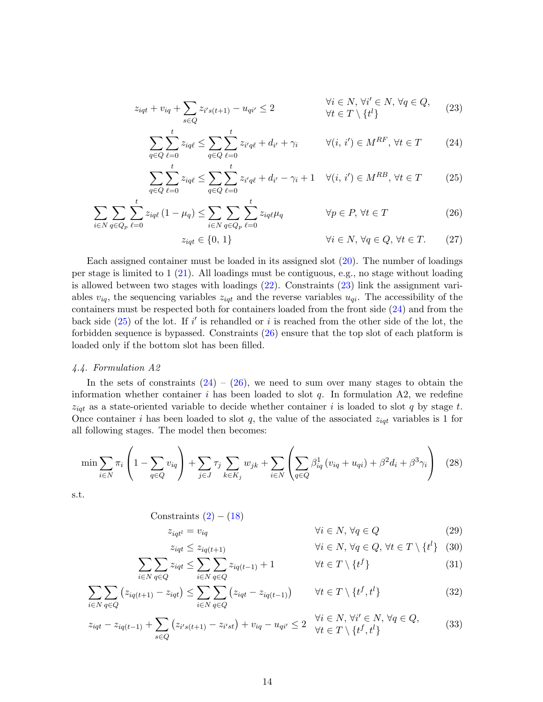$$
z_{iqt} + v_{iq} + \sum_{s \in Q} z_{i's(t+1)} - u_{qi'} \le 2 \qquad \forall i \in N, \forall i' \in N, \forall q \in Q,
$$
\n
$$
(23)
$$

<span id="page-13-1"></span>
$$
\sum_{q \in Q} \sum_{\ell=0}^{t} z_{iq\ell} \le \sum_{q \in Q} \sum_{\ell=0}^{t} z_{i'q\ell} + d_{i'} + \gamma_i \qquad \forall (i, i') \in M^{RF}, \forall t \in T \qquad (24)
$$

$$
\sum_{q \in Q} \sum_{\ell=0}^{t} z_{iq\ell} \le \sum_{q \in Q} \sum_{\ell=0}^{t} z_{i'q\ell} + d_{i'} - \gamma_i + 1 \quad \forall (i, i') \in M^{RB}, \forall t \in T \tag{25}
$$

$$
\sum_{i \in N} \sum_{q \in Q_p} \sum_{\ell=0}^t z_{iq\ell} (1 - \mu_q) \le \sum_{i \in N} \sum_{q \in Q_p} \sum_{\ell=0}^t z_{iq\ell} \mu_q \qquad \forall p \in P, \forall t \in T
$$
\n(26)

<span id="page-13-4"></span><span id="page-13-3"></span><span id="page-13-2"></span>
$$
z_{iqt} \in \{0, 1\} \qquad \qquad \forall i \in N, \forall q \in Q, \forall t \in T. \tag{27}
$$

Each assigned container must be loaded in its assigned slot [\(20\)](#page-12-3). The number of loadings per stage is limited to 1 [\(21\)](#page-12-4). All loadings must be contiguous, e.g., no stage without loading is allowed between two stages with loadings [\(22\)](#page-12-5). Constraints [\(23\)](#page-13-1) link the assignment variables  $v_{iq}$ , the sequencing variables  $z_{iqt}$  and the reverse variables  $u_{qi}$ . The accessibility of the containers must be respected both for containers loaded from the front side [\(24\)](#page-13-2) and from the back side  $(25)$  of the lot. If i' is rehandled or i is reached from the other side of the lot, the forbidden sequence is bypassed. Constraints [\(26\)](#page-13-4) ensure that the top slot of each platform is loaded only if the bottom slot has been filled.

# <span id="page-13-0"></span>4.4. Formulation A2

In the sets of constraints  $(24) - (26)$  $(24) - (26)$  $(24) - (26)$ , we need to sum over many stages to obtain the information whether container i has been loaded to slot  $q$ . In formulation A2, we redefine  $z_{iqt}$  as a state-oriented variable to decide whether container i is loaded to slot q by stage t. Once container i has been loaded to slot q, the value of the associated  $z_{iqt}$  variables is 1 for all following stages. The model then becomes:

$$
\min \sum_{i \in N} \pi_i \left( 1 - \sum_{q \in Q} v_{iq} \right) + \sum_{j \in J} \tau_j \sum_{k \in K_j} w_{jk} + \sum_{i \in N} \left( \sum_{q \in Q} \beta_{iq}^1 (v_{iq} + u_{qi}) + \beta^2 d_i + \beta^3 \gamma_i \right) \tag{28}
$$

s.t.

$$
Constraints (2) - (18)
$$

$$
z_{iqt^l} = v_{iq} \qquad \qquad \forall i \in N, \forall q \in Q \qquad (29)
$$

<span id="page-13-9"></span><span id="page-13-8"></span><span id="page-13-7"></span><span id="page-13-6"></span><span id="page-13-5"></span>
$$
z_{iqt} \le z_{iq(t+1)} \qquad \qquad \forall i \in N, \forall q \in Q, \forall t \in T \setminus \{t^l\} \quad (30)
$$

$$
\sum_{i \in N} \sum_{q \in Q} z_{iqt} \le \sum_{i \in N} \sum_{q \in Q} z_{iq(t-1)} + 1 \qquad \forall t \in T \setminus \{t^f\} \tag{31}
$$

$$
\sum_{i \in N} \sum_{q \in Q} \left( z_{iq(t+1)} - z_{iqt} \right) \le \sum_{i \in N} \sum_{q \in Q} \left( z_{iqt} - z_{iq(t-1)} \right) \qquad \forall t \in T \setminus \{t^f, t^l\} \tag{32}
$$

$$
z_{iqt} - z_{iq(t-1)} + \sum_{s \in Q} (z_{i's(t+1)} - z_{i'st}) + v_{iq} - u_{qi'} \le 2 \quad \forall i \in N, \forall i' \in N, \forall q \in Q,
$$
\n(33)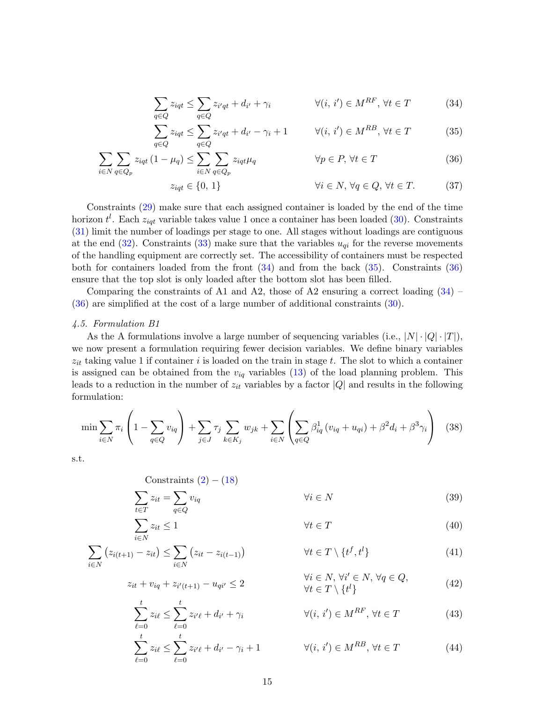<span id="page-14-2"></span><span id="page-14-1"></span>
$$
\sum_{q \in Q} z_{iqt} \le \sum_{q \in Q} z_{i'qt} + d_{i'} + \gamma_i \qquad \forall (i, i') \in M^{RF}, \forall t \in T \qquad (34)
$$

<span id="page-14-3"></span>
$$
\sum_{q \in Q} z_{iqt} \le \sum_{q \in Q} z_{i'qt} + d_{i'} - \gamma_i + 1 \qquad \forall (i, i') \in M^{RB}, \forall t \in T
$$
 (35)

$$
\sum_{i \in N} \sum_{q \in Q_p} z_{iqt} (1 - \mu_q) \le \sum_{i \in N} \sum_{q \in Q_p} z_{iqt} \mu_q \qquad \forall p \in P, \forall t \in T
$$
\n
$$
(36)
$$
\n
$$
z_{iqt} \in \{0, 1\} \qquad \forall i \in N, \forall q \in Q, \forall t \in T.
$$
\n
$$
(37)
$$

$$
\omega_{qt} \in [0, 1]
$$
\nConstraints (29) make sure that each assigned container is loaded by the end of the time.

horizon  $t^l$ . Each  $z_{iqt}$  variable takes value 1 once a container has been loaded [\(30\)](#page-13-6). Constraints [\(31\)](#page-13-7) limit the number of loadings per stage to one. All stages without loadings are contiguous at the end  $(32)$ . Constraints  $(33)$  make sure that the variables  $u_{qi}$  for the reverse movements of the handling equipment are correctly set. The accessibility of containers must be respected both for containers loaded from the front  $(34)$  and from the back  $(35)$ . Constraints  $(36)$ ensure that the top slot is only loaded after the bottom slot has been filled.

Comparing the constraints of A1 and A2, those of A2 ensuring a correct loading  $(34)$  – [\(36\)](#page-14-3) are simplified at the cost of a large number of additional constraints [\(30\)](#page-13-6).

#### <span id="page-14-0"></span>4.5. Formulation B1

 $\sum$ 

As the A formulations involve a large number of sequencing variables (i.e.,  $|N| \cdot |Q| \cdot |T|$ ), we now present a formulation requiring fewer decision variables. We define binary variables  $z_{it}$  taking value 1 if container i is loaded on the train in stage t. The slot to which a container is assigned can be obtained from the  $v_{iq}$  variables [\(13\)](#page-11-10) of the load planning problem. This leads to a reduction in the number of  $z_{it}$  variables by a factor  $|Q|$  and results in the following formulation:

$$
\min \sum_{i \in N} \pi_i \left( 1 - \sum_{q \in Q} v_{iq} \right) + \sum_{j \in J} \tau_j \sum_{k \in K_j} w_{jk} + \sum_{i \in N} \left( \sum_{q \in Q} \beta_{iq}^1 \left( v_{iq} + u_{qi} \right) + \beta^2 d_i + \beta^3 \gamma_i \right) \tag{38}
$$

s.t.

Constraints (2) – (18)

\n
$$
\sum_{t \in T} z_{it} = \sum_{q \in Q} v_{iq} \qquad \qquad \forall i \in N
$$
\n(39)

<span id="page-14-8"></span><span id="page-14-7"></span><span id="page-14-6"></span><span id="page-14-5"></span><span id="page-14-4"></span>
$$
z_{it} \le 1 \qquad \qquad \forall t \in T \tag{40}
$$

$$
\sum_{i \in N} (z_{i(t+1)} - z_{it}) \leq \sum_{i \in N} (z_{it} - z_{i(t-1)}) \qquad \forall t \in T \setminus \{t^f, t^l\}
$$
\n(41)

$$
z_{it} + v_{iq} + z_{i'(t+1)} - u_{qi'} \le 2
$$
  

$$
\forall i \in N, \forall i' \in N, \forall q \in Q,
$$
  

$$
\forall t \in T \setminus \{t^l\}
$$
 (42)

<span id="page-14-9"></span>
$$
\sum_{\ell=0}^{t} z_{i\ell} \le \sum_{\ell=0}^{t} z_{i'\ell} + d_{i'} + \gamma_i \qquad \forall (i, i') \in M^{RF}, \forall t \in T
$$
\n(43)\n
$$
\sum_{\ell=0}^{t} z_{i\ell} \le \sum_{\ell=0}^{t} z_{i'\ell} + d_{i'} - \gamma_i + 1 \qquad \forall (i, i') \in M^{RB}, \forall t \in T
$$
\n(44)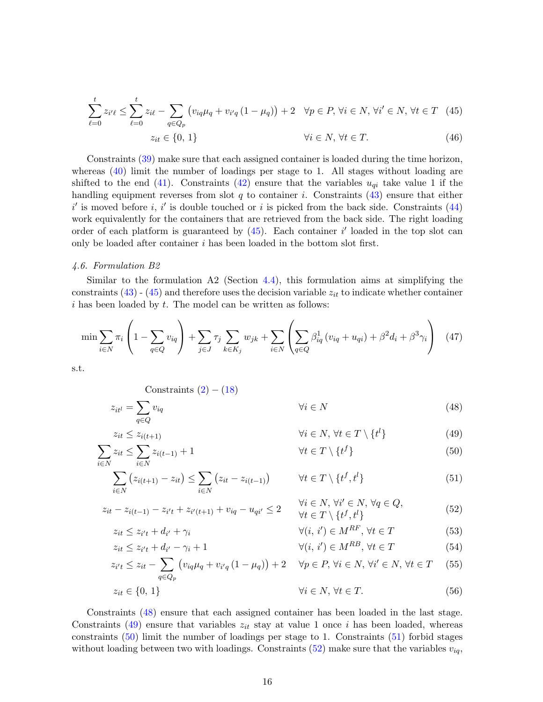$$
\sum_{\ell=0}^{t} z_{i'\ell} \le \sum_{\ell=0}^{t} z_{i\ell} - \sum_{q \in Q_p} \left( v_{iq}\mu_q + v_{i'q} (1 - \mu_q) \right) + 2 \quad \forall p \in P, \forall i \in N, \forall i' \in N, \forall t \in T \quad (45)
$$

<span id="page-15-1"></span>
$$
z_{it} \in \{0, 1\} \qquad \qquad \forall i \in N, \forall t \in T. \tag{46}
$$

Constraints [\(39\)](#page-14-4) make sure that each assigned container is loaded during the time horizon, whereas [\(40\)](#page-14-5) limit the number of loadings per stage to 1. All stages without loading are shifted to the end [\(41\)](#page-14-6). Constraints [\(42\)](#page-14-7) ensure that the variables  $u_{qi}$  take value 1 if the handling equipment reverses from slot q to container i. Constraints  $(43)$  ensure that either  $i'$  is moved before i, i' is double touched or i is picked from the back side. Constraints  $(44)$ work equivalently for the containers that are retrieved from the back side. The right loading order of each platform is guaranteed by  $(45)$ . Each container i' loaded in the top slot can only be loaded after container i has been loaded in the bottom slot first.

#### <span id="page-15-0"></span>4.6. Formulation B2

 $z_{it^l} = \sum$ 

Similar to the formulation  $A2$  (Section [4.4\)](#page-13-0), this formulation aims at simplifying the constraints  $(43)$  -  $(45)$  and therefore uses the decision variable  $z_{it}$  to indicate whether container  $i$  has been loaded by  $t$ . The model can be written as follows:

$$
\min \sum_{i \in N} \pi_i \left( 1 - \sum_{q \in Q} v_{iq} \right) + \sum_{j \in J} \tau_j \sum_{k \in K_j} w_{jk} + \sum_{i \in N} \left( \sum_{q \in Q} \beta_{iq}^1 (v_{iq} + u_{qi}) + \beta^2 d_i + \beta^3 \gamma_i \right) \tag{47}
$$

s.t.

Constraints 
$$
(2) - (18)
$$

<span id="page-15-9"></span><span id="page-15-8"></span><span id="page-15-7"></span><span id="page-15-6"></span><span id="page-15-5"></span><span id="page-15-4"></span><span id="page-15-3"></span><span id="page-15-2"></span>
$$
v_{iq} \qquad \qquad \forall i \in N \tag{48}
$$

$$
q \in Q
$$
  
\n
$$
z_{it} \le z_{i(t+1)}
$$
  
\n
$$
\forall i \in N, \forall t \in T \setminus \{t^l\}
$$
\n(49)

$$
\sum_{i \in N} z_{it} \le \sum_{i \in N} z_{i(t-1)} + 1 \qquad \qquad \forall t \in T \setminus \{t^f\} \tag{50}
$$

$$
\sum_{i \in N} \left( z_{i(t+1)} - z_{it} \right) \leq \sum_{i \in N} \left( z_{it} - z_{i(t-1)} \right) \qquad \forall t \in T \setminus \{t^f, t^l\}
$$
\n
$$
(51)
$$

$$
z_{it} - z_{i(t-1)} - z_{i't} + z_{i'(t+1)} + v_{iq} - u_{qi'} \le 2 \qquad \forall i \in N, \forall i' \in N, \forall q \in Q,
$$
  
\n
$$
\forall t \in T \setminus \{t^f, t^l\}
$$
\n
$$
(52)
$$

$$
z_{it} \le z_{i't} + d_{i'} + \gamma_i \qquad \qquad \forall (i, i') \in M^{RF}, \forall t \in T
$$
\n
$$
(53)
$$

$$
z_{it} \le z_{i't} + d_{i'} - \gamma_i + 1 \qquad \qquad \forall (i, i') \in M^{RB}, \forall t \in T \qquad (54)
$$

$$
z_{i't} \le z_{it} - \sum_{q \in Q_p} \left( v_{iq} \mu_q + v_{i'q} \left( 1 - \mu_q \right) \right) + 2 \quad \forall p \in P, \forall i \in N, \forall i' \in N, \forall t \in T \quad (55)
$$

$$
z_{it} \in \{0, 1\} \qquad \qquad \forall i \in N, \, \forall t \in T. \tag{56}
$$

Constraints [\(48\)](#page-15-2) ensure that each assigned container has been loaded in the last stage. Constraints [\(49\)](#page-15-3) ensure that variables  $z_{it}$  stay at value 1 once i has been loaded, whereas constraints [\(50\)](#page-15-4) limit the number of loadings per stage to 1. Constraints [\(51\)](#page-15-5) forbid stages without loading between two with loadings. Constraints  $(52)$  make sure that the variables  $v_{iq}$ ,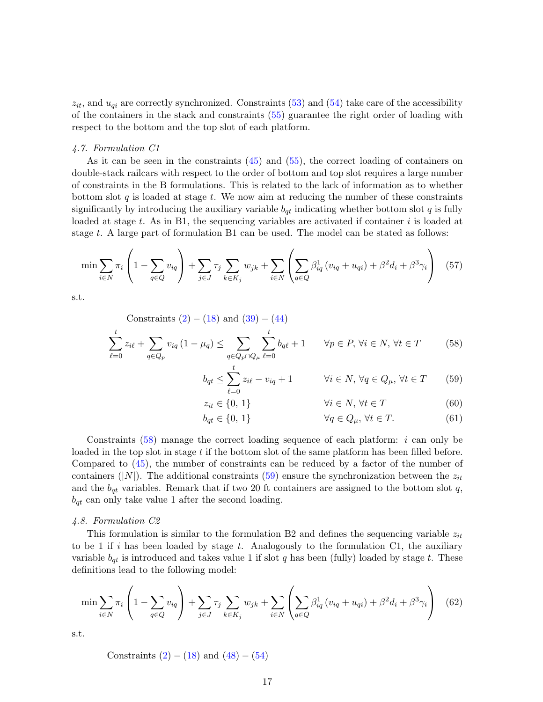$z_{it}$ , and  $u_{qi}$  are correctly synchronized. Constraints [\(53\)](#page-15-7) and [\(54\)](#page-15-8) take care of the accessibility of the containers in the stack and constraints [\(55\)](#page-15-9) guarantee the right order of loading with respect to the bottom and the top slot of each platform.

#### <span id="page-16-1"></span>4.7. Formulation C1

As it can be seen in the constraints [\(45\)](#page-15-1) and [\(55\)](#page-15-9), the correct loading of containers on double-stack railcars with respect to the order of bottom and top slot requires a large number of constraints in the B formulations. This is related to the lack of information as to whether bottom slot q is loaded at stage t. We now aim at reducing the number of these constraints significantly by introducing the auxiliary variable  $b_{qt}$  indicating whether bottom slot q is fully loaded at stage  $t$ . As in B1, the sequencing variables are activated if container i is loaded at stage t. A large part of formulation B1 can be used. The model can be stated as follows:

$$
\min \sum_{i \in N} \pi_i \left( 1 - \sum_{q \in Q} v_{iq} \right) + \sum_{j \in J} \tau_j \sum_{k \in K_j} w_{jk} + \sum_{i \in N} \left( \sum_{q \in Q} \beta_{iq}^1 (v_{iq} + u_{qi}) + \beta^2 d_i + \beta^3 \gamma_i \right) \tag{57}
$$

s.t.

Constraints  $(2) - (18)$  $(2) - (18)$  $(2) - (18)$  and  $(39) - (44)$  $(39) - (44)$  $(39) - (44)$ 

$$
\sum_{\ell=0}^{t} z_{i\ell} + \sum_{q \in Q_p} v_{iq} (1 - \mu_q) \le \sum_{q \in Q_p \cap Q_\mu} \sum_{\ell=0}^{t} b_{q\ell} + 1 \qquad \forall p \in P, \forall i \in N, \forall t \in T \tag{58}
$$

<span id="page-16-3"></span><span id="page-16-2"></span>
$$
b_{qt} \le \sum_{\ell=0}^{t} z_{i\ell} - v_{iq} + 1 \qquad \forall i \in N, \forall q \in Q_{\mu}, \forall t \in T \qquad (59)
$$

$$
z_{it} \in \{0, 1\} \qquad \qquad \forall i \in N, \forall t \in T \tag{60}
$$

$$
b_{qt} \in \{0, 1\} \qquad \forall q \in Q_{\mu}, \forall t \in T. \tag{61}
$$

Constraints  $(58)$  manage the correct loading sequence of each platform: *i* can only be loaded in the top slot in stage  $t$  if the bottom slot of the same platform has been filled before. Compared to [\(45\)](#page-15-1), the number of constraints can be reduced by a factor of the number of containers (|N|). The additional constraints [\(59\)](#page-16-3) ensure the synchronization between the  $z_{it}$ and the  $b_{qt}$  variables. Remark that if two 20 ft containers are assigned to the bottom slot q,  $b_{qt}$  can only take value 1 after the second loading.

#### <span id="page-16-0"></span>4.8. Formulation C2

This formulation is similar to the formulation B2 and defines the sequencing variable  $z_{it}$ to be 1 if i has been loaded by stage t. Analogously to the formulation C1, the auxiliary variable  $b_{qt}$  is introduced and takes value 1 if slot q has been (fully) loaded by stage t. These definitions lead to the following model:

$$
\min \sum_{i \in N} \pi_i \left( 1 - \sum_{q \in Q} v_{iq} \right) + \sum_{j \in J} \tau_j \sum_{k \in K_j} w_{jk} + \sum_{i \in N} \left( \sum_{q \in Q} \beta_{iq}^1 (v_{iq} + u_{qi}) + \beta^2 d_i + \beta^3 \gamma_i \right) \tag{62}
$$

s.t.

Constraints  $(2) - (18)$  $(2) - (18)$  $(2) - (18)$  and  $(48) - (54)$  $(48) - (54)$  $(48) - (54)$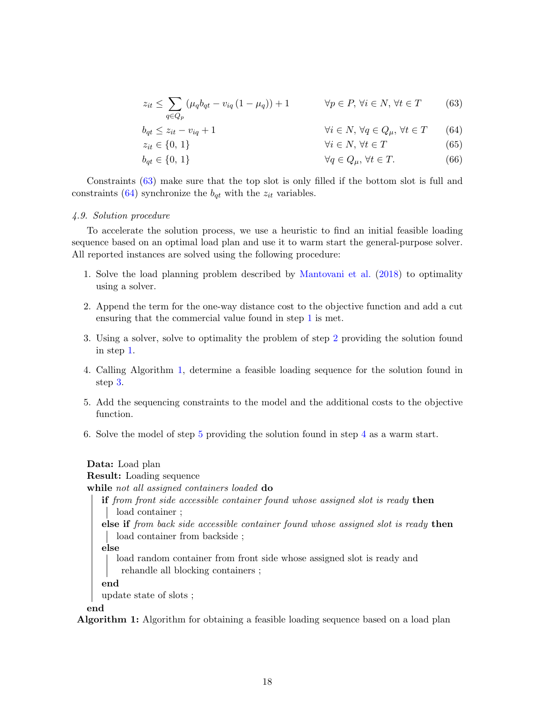<span id="page-17-1"></span>
$$
z_{it} \leq \sum_{q \in Q_p} \left( \mu_q b_{qt} - v_{iq} \left( 1 - \mu_q \right) \right) + 1 \qquad \forall p \in P, \forall i \in N, \forall t \in T \qquad (63)
$$

$$
b_{qt} \le z_{it} - v_{iq} + 1 \qquad \qquad \forall i \in N, \forall q \in Q_{\mu}, \forall t \in T \qquad (64)
$$

<span id="page-17-2"></span>
$$
z_{it} \in \{0, 1\} \qquad \qquad \forall i \in N, \forall t \in T \tag{65}
$$

 $b_{qt} \in \{0, 1\}$   $\forall q \in Q_{\mu}, \forall t \in T.$  (66)

Constraints [\(63\)](#page-17-1) make sure that the top slot is only filled if the bottom slot is full and constraints [\(64\)](#page-17-2) synchronize the  $b_{qt}$  with the  $z_{it}$  variables.

# <span id="page-17-0"></span>4.9. Solution procedure

To accelerate the solution process, we use a heuristic to find an initial feasible loading sequence based on an optimal load plan and use it to warm start the general-purpose solver. All reported instances are solved using the following procedure:

- <span id="page-17-3"></span>1. Solve the load planning problem described by [Mantovani et al.](#page-28-1) [\(2018\)](#page-28-1) to optimality using a solver.
- <span id="page-17-4"></span>2. Append the term for the one-way distance cost to the objective function and add a cut ensuring that the commercial value found in step [1](#page-17-3) is met.
- <span id="page-17-6"></span>3. Using a solver, solve to optimality the problem of step [2](#page-17-4) providing the solution found in step [1.](#page-17-3)
- <span id="page-17-8"></span>4. Calling Algorithm [1,](#page-17-5) determine a feasible loading sequence for the solution found in step [3.](#page-17-6)
- <span id="page-17-7"></span>5. Add the sequencing constraints to the model and the additional costs to the objective function.
- <span id="page-17-9"></span>6. Solve the model of step [5](#page-17-7) providing the solution found in step [4](#page-17-8) as a warm start.

# Data: Load plan

# Result: Loading sequence

while not all assigned containers loaded do

if from front side accessible container found whose assigned slot is ready then | load container ;

else if from back side accessible container found whose assigned slot is ready then load container from backside ;

else

load random container from front side whose assigned slot is ready and rehandle all blocking containers ;

end

update state of slots ;

<span id="page-17-5"></span>end

Algorithm 1: Algorithm for obtaining a feasible loading sequence based on a load plan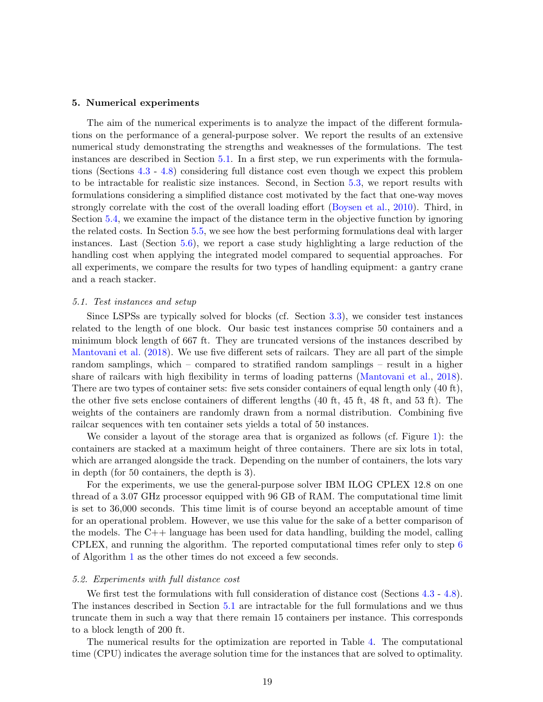#### <span id="page-18-0"></span>5. Numerical experiments

The aim of the numerical experiments is to analyze the impact of the different formulations on the performance of a general-purpose solver. We report the results of an extensive numerical study demonstrating the strengths and weaknesses of the formulations. The test instances are described in Section [5.1.](#page-18-1) In a first step, we run experiments with the formulations (Sections [4.3](#page-12-1) - [4.8\)](#page-16-0) considering full distance cost even though we expect this problem to be intractable for realistic size instances. Second, in Section [5.3,](#page-19-0) we report results with formulations considering a simplified distance cost motivated by the fact that one-way moves strongly correlate with the cost of the overall loading effort [\(Boysen et al.,](#page-27-5) [2010\)](#page-27-5). Third, in Section [5.4,](#page-22-0) we examine the impact of the distance term in the objective function by ignoring the related costs. In Section [5.5,](#page-23-0) we see how the best performing formulations deal with larger instances. Last (Section [5.6\)](#page-25-1), we report a case study highlighting a large reduction of the handling cost when applying the integrated model compared to sequential approaches. For all experiments, we compare the results for two types of handling equipment: a gantry crane and a reach stacker.

#### <span id="page-18-1"></span>5.1. Test instances and setup

Since LSPSs are typically solved for blocks (cf. Section [3.3\)](#page-6-1), we consider test instances related to the length of one block. Our basic test instances comprise 50 containers and a minimum block length of 667 ft. They are truncated versions of the instances described by [Mantovani et al.](#page-28-1) [\(2018\)](#page-28-1). We use five different sets of railcars. They are all part of the simple random samplings, which – compared to stratified random samplings – result in a higher share of railcars with high flexibility in terms of loading patterns [\(Mantovani et al.,](#page-28-1) [2018\)](#page-28-1). There are two types of container sets: five sets consider containers of equal length only (40 ft), the other five sets enclose containers of different lengths (40 ft, 45 ft, 48 ft, and 53 ft). The weights of the containers are randomly drawn from a normal distribution. Combining five railcar sequences with ten container sets yields a total of 50 instances.

We consider a layout of the storage area that is organized as follows (cf. Figure [1\)](#page-6-0): the containers are stacked at a maximum height of three containers. There are six lots in total, which are arranged alongside the track. Depending on the number of containers, the lots vary in depth (for 50 containers, the depth is 3).

For the experiments, we use the general-purpose solver IBM ILOG CPLEX 12.8 on one thread of a 3.07 GHz processor equipped with 96 GB of RAM. The computational time limit is set to 36,000 seconds. This time limit is of course beyond an acceptable amount of time for an operational problem. However, we use this value for the sake of a better comparison of the models. The  $C_{++}$  language has been used for data handling, building the model, calling CPLEX, and running the algorithm. The reported computational times refer only to step [6](#page-17-9) of Algorithm [1](#page-17-5) as the other times do not exceed a few seconds.

#### <span id="page-18-2"></span>5.2. Experiments with full distance cost

We first test the formulations with full consideration of distance cost (Sections [4.3](#page-12-1) - [4.8\)](#page-16-0). The instances described in Section [5.1](#page-18-1) are intractable for the full formulations and we thus truncate them in such a way that there remain 15 containers per instance. This corresponds to a block length of 200 ft.

The numerical results for the optimization are reported in Table [4.](#page-19-1) The computational time (CPU) indicates the average solution time for the instances that are solved to optimality.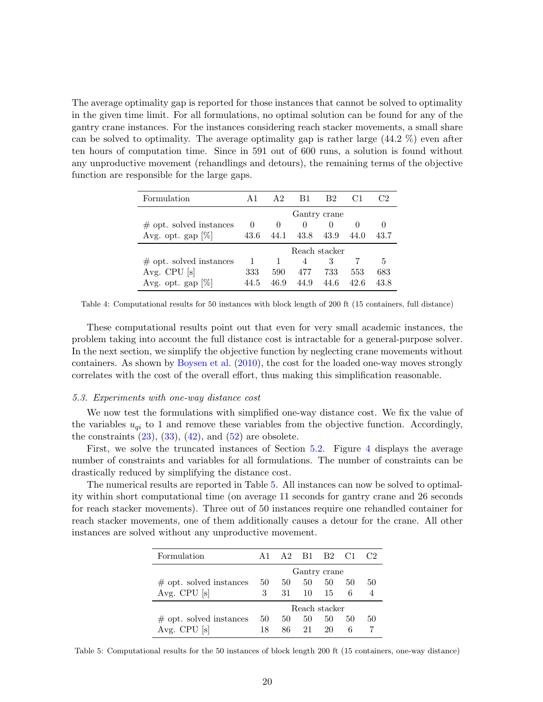The average optimality gap is reported for those instances that cannot be solved to optimality in the given time limit. For all formulations, no optimal solution can be found for any of the gantry crane instances. For the instances considering reach stacker movements, a small share can be solved to optimality. The average optimality gap is rather large (44.2 %) even after ten hours of computation time. Since in 591 out of 600 runs, a solution is found without any unproductive movement (rehandlings and detours), the remaining terms of the objective function are responsible for the large gaps.

<span id="page-19-1"></span>

| Formulation                | A <sub>1</sub> | A 2.     | B1   | B2   |      | 72   |  |  |  |
|----------------------------|----------------|----------|------|------|------|------|--|--|--|
|                            | Gantry crane   |          |      |      |      |      |  |  |  |
| $\#$ opt. solved instances | $\theta$       | $\theta$ |      |      |      |      |  |  |  |
| Avg. opt. gap $[\%]$       | 43.6           | 44.1     | 43.8 | 43.9 | 44.0 | 43.7 |  |  |  |
|                            | Reach stacker  |          |      |      |      |      |  |  |  |
| $\#$ opt. solved instances | 1              |          |      | 3    |      | 5.   |  |  |  |
| Avg. CPU [s]               | 333            | 590      | 477  | 733  | 553  | 683  |  |  |  |
| Avg. opt. gap $[\%]$       | 44.5           | 46.9     | 44.9 | 44.6 | 42.6 | 43.8 |  |  |  |

Table 4: Computational results for 50 instances with block length of 200 ft (15 containers, full distance)

These computational results point out that even for very small academic instances, the problem taking into account the full distance cost is intractable for a general-purpose solver. In the next section, we simplify the objective function by neglecting crane movements without containers. As shown by [Boysen et al.](#page-27-5) [\(2010\)](#page-27-5), the cost for the loaded one-way moves strongly correlates with the cost of the overall effort, thus making this simplification reasonable.

#### <span id="page-19-0"></span>5.3. Experiments with one-way distance cost

We now test the formulations with simplified one-way distance cost. We fix the value of the variables  $u_{qi}$  to 1 and remove these variables from the objective function. Accordingly, the constraints  $(23)$ ,  $(33)$ ,  $(42)$ , and  $(52)$  are obsolete.

First, we solve the truncated instances of Section [5.2.](#page-18-2) Figure [4](#page-20-0) displays the average number of constraints and variables for all formulations. The number of constraints can be drastically reduced by simplifying the distance cost.

<span id="page-19-2"></span>The numerical results are reported in Table [5.](#page-19-2) All instances can now be solved to optimality within short computational time (on average 11 seconds for gantry crane and 26 seconds for reach stacker movements). Three out of 50 instances require one rehandled container for reach stacker movements, one of them additionally causes a detour for the crane. All other instances are solved without any unproductive movement.

| Formulation                | A 1           |      |       | A <sub>2</sub> B <sub>1</sub> B <sub>2</sub> C <sub>1</sub> |    |    |  |  |  |  |
|----------------------------|---------------|------|-------|-------------------------------------------------------------|----|----|--|--|--|--|
|                            | Gantry crane  |      |       |                                                             |    |    |  |  |  |  |
| $\#$ opt. solved instances | -50           | 50   | 50    | 50                                                          | 50 | 50 |  |  |  |  |
| Avg. CPU $[s]$             | $\mathbf{3}$  | 31 — | 10    | -15                                                         | 6  |    |  |  |  |  |
|                            | Reach stacker |      |       |                                                             |    |    |  |  |  |  |
| $\#$ opt. solved instances | 50            | 50   | 50    | 50                                                          | 50 | 50 |  |  |  |  |
| Avg. CPU [s]               | 18            |      | 86 21 | 20                                                          | 6  |    |  |  |  |  |

Table 5: Computational results for the 50 instances of block length 200 ft (15 containers, one-way distance)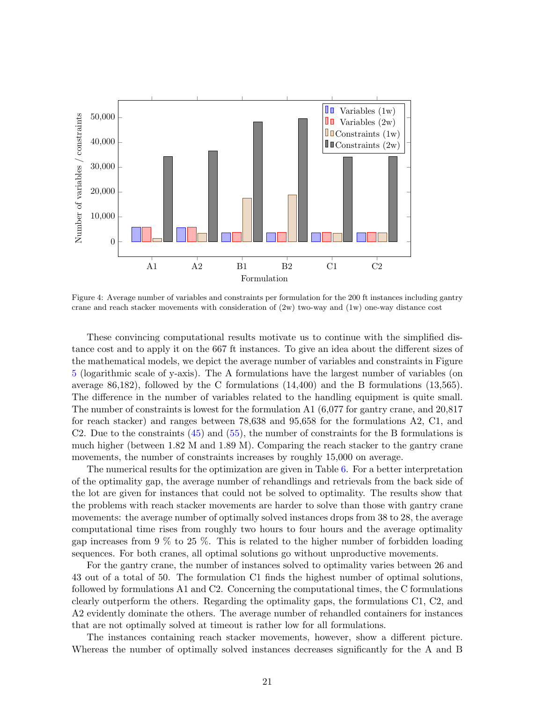<span id="page-20-0"></span>

Figure 4: Average number of variables and constraints per formulation for the 200 ft instances including gantry crane and reach stacker movements with consideration of (2w) two-way and (1w) one-way distance cost

These convincing computational results motivate us to continue with the simplified distance cost and to apply it on the 667 ft instances. To give an idea about the different sizes of the mathematical models, we depict the average number of variables and constraints in Figure [5](#page-21-0) (logarithmic scale of y-axis). The A formulations have the largest number of variables (on average 86,182), followed by the C formulations (14,400) and the B formulations (13,565). The difference in the number of variables related to the handling equipment is quite small. The number of constraints is lowest for the formulation A1 (6,077 for gantry crane, and 20,817 for reach stacker) and ranges between 78,638 and 95,658 for the formulations A2, C1, and C2. Due to the constraints  $(45)$  and  $(55)$ , the number of constraints for the B formulations is much higher (between 1.82 M and 1.89 M). Comparing the reach stacker to the gantry crane movements, the number of constraints increases by roughly 15,000 on average.

The numerical results for the optimization are given in Table [6.](#page-21-1) For a better interpretation of the optimality gap, the average number of rehandlings and retrievals from the back side of the lot are given for instances that could not be solved to optimality. The results show that the problems with reach stacker movements are harder to solve than those with gantry crane movements: the average number of optimally solved instances drops from 38 to 28, the average computational time rises from roughly two hours to four hours and the average optimality gap increases from 9 % to 25 %. This is related to the higher number of forbidden loading sequences. For both cranes, all optimal solutions go without unproductive movements.

For the gantry crane, the number of instances solved to optimality varies between 26 and 43 out of a total of 50. The formulation C1 finds the highest number of optimal solutions, followed by formulations A1 and C2. Concerning the computational times, the C formulations clearly outperform the others. Regarding the optimality gaps, the formulations C1, C2, and A2 evidently dominate the others. The average number of rehandled containers for instances that are not optimally solved at timeout is rather low for all formulations.

The instances containing reach stacker movements, however, show a different picture. Whereas the number of optimally solved instances decreases significantly for the A and B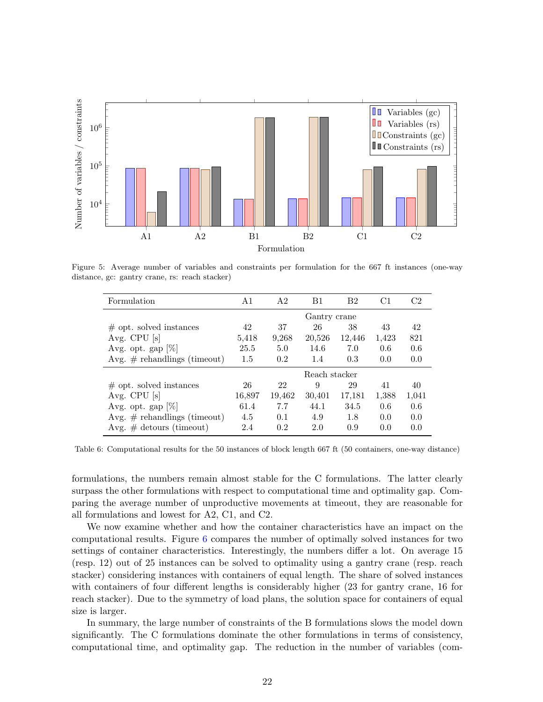<span id="page-21-0"></span>

<span id="page-21-1"></span>Figure 5: Average number of variables and constraints per formulation for the 667 ft instances (one-way distance, gc: gantry crane, rs: reach stacker)

| Formulation                     | A <sub>1</sub> | A <sub>2</sub> | B1     | B <sub>2</sub> | C1    | C2    |  |  |  |
|---------------------------------|----------------|----------------|--------|----------------|-------|-------|--|--|--|
|                                 | Gantry crane   |                |        |                |       |       |  |  |  |
| $\#$ opt. solved instances      | 42             | 37             | 26     | 38             | 43    | 42    |  |  |  |
| Avg. CPU [s]                    | 5,418          | 9,268          | 20,526 | 12,446         | 1,423 | 821   |  |  |  |
| Avg. opt. gap $ \% $            | 25.5           | 5.0            | 14.6   | 7.0            | 0.6   | 0.6   |  |  |  |
| Avg. $#$ rehandlings (timeout)  | 1.5            | 0.2            | 1.4    | 0.3            | 0.0   | 0.0   |  |  |  |
|                                 | Reach stacker  |                |        |                |       |       |  |  |  |
| $\#$ opt. solved instances      | 26             | 22             | 9      | 29             | 41    | 40    |  |  |  |
| Avg. CPU $[s]$                  | 16,897         | 19,462         | 30,401 | 17,181         | 1,388 | 1,041 |  |  |  |
| Avg. opt. gap $[\%]$            | 61.4           | 7.7            | 44.1   | 34.5           | 0.6   | 0.6   |  |  |  |
| Avg. $\#$ rehandlings (timeout) | 4.5            | 0.1            | 4.9    | 1.8            | 0.0   | 0.0   |  |  |  |
| Avg. $\#$ detours (timeout)     | 2.4            | 0.2            | 2.0    | 0.9            | 0.0   | 0.0   |  |  |  |

Table 6: Computational results for the 50 instances of block length 667 ft (50 containers, one-way distance)

formulations, the numbers remain almost stable for the C formulations. The latter clearly surpass the other formulations with respect to computational time and optimality gap. Comparing the average number of unproductive movements at timeout, they are reasonable for all formulations and lowest for A2, C1, and C2.

We now examine whether and how the container characteristics have an impact on the computational results. Figure [6](#page-22-1) compares the number of optimally solved instances for two settings of container characteristics. Interestingly, the numbers differ a lot. On average 15 (resp. 12) out of 25 instances can be solved to optimality using a gantry crane (resp. reach stacker) considering instances with containers of equal length. The share of solved instances with containers of four different lengths is considerably higher (23 for gantry crane, 16 for reach stacker). Due to the symmetry of load plans, the solution space for containers of equal size is larger.

In summary, the large number of constraints of the B formulations slows the model down significantly. The C formulations dominate the other formulations in terms of consistency, computational time, and optimality gap. The reduction in the number of variables (com-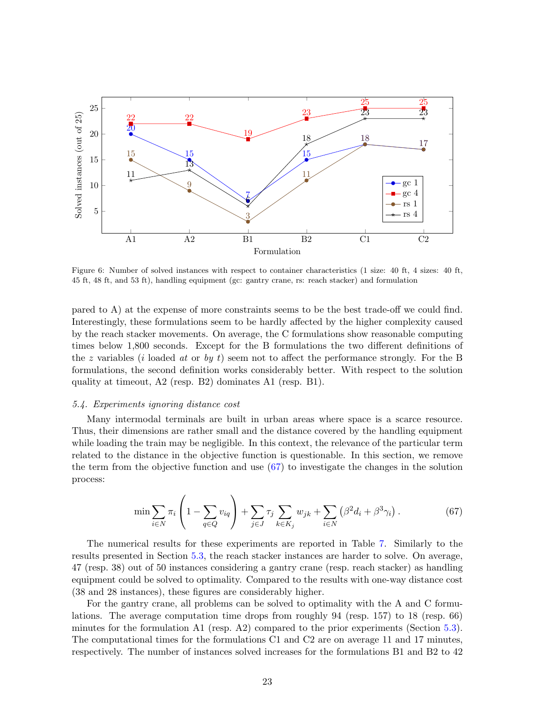<span id="page-22-1"></span>

Figure 6: Number of solved instances with respect to container characteristics (1 size: 40 ft, 4 sizes: 40 ft, 45 ft, 48 ft, and 53 ft), handling equipment (gc: gantry crane, rs: reach stacker) and formulation

pared to A) at the expense of more constraints seems to be the best trade-off we could find. Interestingly, these formulations seem to be hardly affected by the higher complexity caused by the reach stacker movements. On average, the C formulations show reasonable computing times below 1,800 seconds. Except for the B formulations the two different definitions of the z variables (i loaded at or by t) seem not to affect the performance strongly. For the B formulations, the second definition works considerably better. With respect to the solution quality at timeout, A2 (resp. B2) dominates A1 (resp. B1).

#### <span id="page-22-0"></span>5.4. Experiments ignoring distance cost

Many intermodal terminals are built in urban areas where space is a scarce resource. Thus, their dimensions are rather small and the distance covered by the handling equipment while loading the train may be negligible. In this context, the relevance of the particular term related to the distance in the objective function is questionable. In this section, we remove the term from the objective function and use  $(67)$  to investigate the changes in the solution process:

<span id="page-22-2"></span>
$$
\min \sum_{i \in N} \pi_i \left( 1 - \sum_{q \in Q} v_{iq} \right) + \sum_{j \in J} \tau_j \sum_{k \in K_j} w_{jk} + \sum_{i \in N} \left( \beta^2 d_i + \beta^3 \gamma_i \right). \tag{67}
$$

The numerical results for these experiments are reported in Table [7.](#page-23-1) Similarly to the results presented in Section [5.3,](#page-19-0) the reach stacker instances are harder to solve. On average, 47 (resp. 38) out of 50 instances considering a gantry crane (resp. reach stacker) as handling equipment could be solved to optimality. Compared to the results with one-way distance cost (38 and 28 instances), these figures are considerably higher.

For the gantry crane, all problems can be solved to optimality with the A and C formulations. The average computation time drops from roughly 94 (resp. 157) to 18 (resp. 66) minutes for the formulation A1 (resp. A2) compared to the prior experiments (Section [5.3\)](#page-19-0). The computational times for the formulations C1 and C2 are on average 11 and 17 minutes, respectively. The number of instances solved increases for the formulations B1 and B2 to 42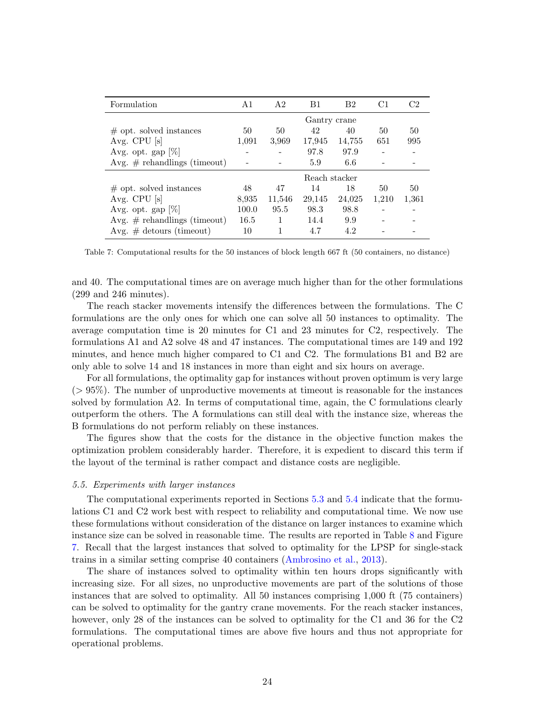<span id="page-23-1"></span>

| Formulation                     | A <sub>1</sub> | A <sub>2</sub> | B1     | B <sub>2</sub> | C1    | C2    |  |  |  |
|---------------------------------|----------------|----------------|--------|----------------|-------|-------|--|--|--|
|                                 | Gantry crane   |                |        |                |       |       |  |  |  |
| $\#$ opt. solved instances      | 50             | 50             | 42     | 40             | 50    | 50    |  |  |  |
| Avg. CPU [s]                    | 1,091          | 3,969          | 17,945 | 14,755         | 651   | 995   |  |  |  |
| Avg. opt. gap $[\%]$            |                |                | 97.8   | 97.9           |       |       |  |  |  |
| Avg. $\#$ rehandlings (timeout) |                |                | 5.9    | 6.6            |       |       |  |  |  |
|                                 | Reach stacker  |                |        |                |       |       |  |  |  |
| $\#$ opt. solved instances      | 48             | 47             | 14     | 18             | 50    | 50    |  |  |  |
| Avg. CPU $[s]$                  | 8,935          | 11,546         | 29,145 | 24,025         | 1,210 | 1,361 |  |  |  |
| Avg. opt. gap $[\%]$            | 100.0          | 95.5           | 98.3   | 98.8           |       |       |  |  |  |
| Avg. $#$ rehandlings (timeout)  | 16.5           | 1              | 14.4   | 9.9            |       |       |  |  |  |
| Avg. $\#$ detours (timeout)     | 10             | 1              | 4.7    | 4.2            |       |       |  |  |  |

Table 7: Computational results for the 50 instances of block length 667 ft (50 containers, no distance)

and 40. The computational times are on average much higher than for the other formulations (299 and 246 minutes).

The reach stacker movements intensify the differences between the formulations. The C formulations are the only ones for which one can solve all 50 instances to optimality. The average computation time is 20 minutes for C1 and 23 minutes for C2, respectively. The formulations A1 and A2 solve 48 and 47 instances. The computational times are 149 and 192 minutes, and hence much higher compared to C1 and C2. The formulations B1 and B2 are only able to solve 14 and 18 instances in more than eight and six hours on average.

For all formulations, the optimality gap for instances without proven optimum is very large  $(> 95\%)$ . The number of unproductive movements at timeout is reasonable for the instances solved by formulation A2. In terms of computational time, again, the C formulations clearly outperform the others. The A formulations can still deal with the instance size, whereas the B formulations do not perform reliably on these instances.

The figures show that the costs for the distance in the objective function makes the optimization problem considerably harder. Therefore, it is expedient to discard this term if the layout of the terminal is rather compact and distance costs are negligible.

#### <span id="page-23-0"></span>5.5. Experiments with larger instances

The computational experiments reported in Sections [5.3](#page-19-0) and [5.4](#page-22-0) indicate that the formulations C1 and C2 work best with respect to reliability and computational time. We now use these formulations without consideration of the distance on larger instances to examine which instance size can be solved in reasonable time. The results are reported in Table [8](#page-24-0) and Figure [7.](#page-24-1) Recall that the largest instances that solved to optimality for the LPSP for single-stack trains in a similar setting comprise 40 containers [\(Ambrosino et al.,](#page-27-2) [2013\)](#page-27-2).

The share of instances solved to optimality within ten hours drops significantly with increasing size. For all sizes, no unproductive movements are part of the solutions of those instances that are solved to optimality. All 50 instances comprising 1,000 ft (75 containers) can be solved to optimality for the gantry crane movements. For the reach stacker instances, however, only 28 of the instances can be solved to optimality for the C1 and 36 for the C2 formulations. The computational times are above five hours and thus not appropriate for operational problems.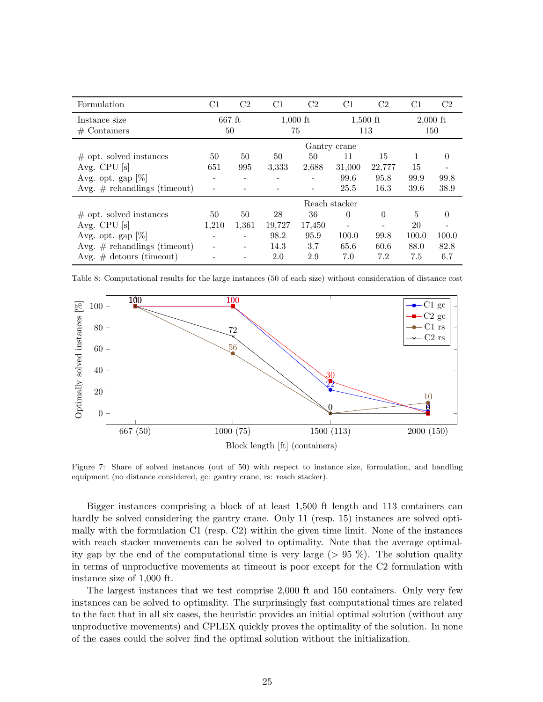<span id="page-24-0"></span>

| Formulation                     | $\rm C1$      | C2       | C1     | C <sub>2</sub> | C1                       | C <sub>2</sub> | C1    | C <sub>2</sub> |  |
|---------------------------------|---------------|----------|--------|----------------|--------------------------|----------------|-------|----------------|--|
| Instance size                   |               | $667$ ft |        | $1,000$ ft     |                          | $1,500$ ft     |       | $2,000$ ft     |  |
| $#$ Containers                  |               | 50       |        | 75             |                          | 113            |       | 150            |  |
|                                 | Gantry crane  |          |        |                |                          |                |       |                |  |
| $\#$ opt. solved instances      | 50            | 50       | 50     | 50             | 11                       | 15             | 1     | $\theta$       |  |
| Avg. CPU $[s]$                  | 651           | 995      | 3,333  | 2,688          | 31,000                   | 22,777         | 15    |                |  |
| Avg. opt. gap $[\%]$            |               |          |        |                | 99.6                     | 95.8           | 99.9  | 99.8           |  |
| Avg. $#$ rehandlings (timeout)  |               |          |        |                | 25.5                     | 16.3           | 39.6  | 38.9           |  |
|                                 | Reach stacker |          |        |                |                          |                |       |                |  |
| $\#$ opt. solved instances      | 50            | 50       | 28     | 36             | $\Omega$                 | $\Omega$       | 5     | 0              |  |
| Avg. CPU $[s]$                  | 1,210         | 1,361    | 19,727 | 17,450         | $\overline{\phantom{0}}$ |                | 20    |                |  |
| Avg. opt. gap $[\%]$            |               |          | 98.2   | 95.9           | 100.0                    | 99.8           | 100.0 | 100.0          |  |
| Avg. $\#$ rehandlings (timeout) |               |          | 14.3   | 3.7            | 65.6                     | 60.6           | 88.0  | 82.8           |  |
| Avg. $\#$ detours (timeout)     |               |          | 2.0    | 2.9            | 7.0                      | 7.2            | 7.5   | 6.7            |  |

Table 8: Computational results for the large instances (50 of each size) without consideration of distance cost

<span id="page-24-1"></span>

Figure 7: Share of solved instances (out of 50) with respect to instance size, formulation, and handling equipment (no distance considered, gc: gantry crane, rs: reach stacker).

Bigger instances comprising a block of at least 1,500 ft length and 113 containers can hardly be solved considering the gantry crane. Only 11 (resp. 15) instances are solved optimally with the formulation C1 (resp. C2) within the given time limit. None of the instances with reach stacker movements can be solved to optimality. Note that the average optimality gap by the end of the computational time is very large ( $> 95\%$ ). The solution quality in terms of unproductive movements at timeout is poor except for the C2 formulation with instance size of 1,000 ft.

The largest instances that we test comprise 2,000 ft and 150 containers. Only very few instances can be solved to optimality. The surprinsingly fast computational times are related to the fact that in all six cases, the heuristic provides an initial optimal solution (without any unproductive movements) and CPLEX quickly proves the optimality of the solution. In none of the cases could the solver find the optimal solution without the initialization.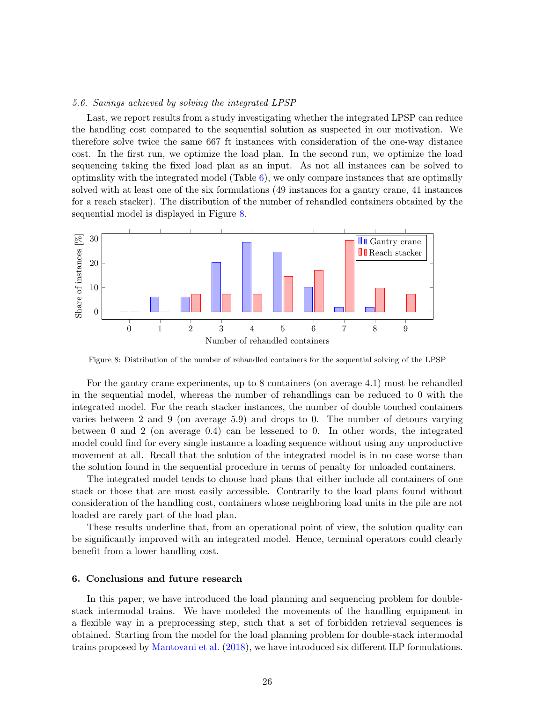# <span id="page-25-1"></span>5.6. Savings achieved by solving the integrated LPSP

Last, we report results from a study investigating whether the integrated LPSP can reduce the handling cost compared to the sequential solution as suspected in our motivation. We therefore solve twice the same 667 ft instances with consideration of the one-way distance cost. In the first run, we optimize the load plan. In the second run, we optimize the load sequencing taking the fixed load plan as an input. As not all instances can be solved to optimality with the integrated model (Table  $6$ ), we only compare instances that are optimally solved with at least one of the six formulations (49 instances for a gantry crane, 41 instances for a reach stacker). The distribution of the number of rehandled containers obtained by the sequential model is displayed in Figure [8.](#page-25-2)

<span id="page-25-2"></span>

Figure 8: Distribution of the number of rehandled containers for the sequential solving of the LPSP

For the gantry crane experiments, up to 8 containers (on average 4.1) must be rehandled in the sequential model, whereas the number of rehandlings can be reduced to 0 with the integrated model. For the reach stacker instances, the number of double touched containers varies between 2 and 9 (on average 5.9) and drops to 0. The number of detours varying between 0 and 2 (on average 0.4) can be lessened to 0. In other words, the integrated model could find for every single instance a loading sequence without using any unproductive movement at all. Recall that the solution of the integrated model is in no case worse than the solution found in the sequential procedure in terms of penalty for unloaded containers.

The integrated model tends to choose load plans that either include all containers of one stack or those that are most easily accessible. Contrarily to the load plans found without consideration of the handling cost, containers whose neighboring load units in the pile are not loaded are rarely part of the load plan.

These results underline that, from an operational point of view, the solution quality can be significantly improved with an integrated model. Hence, terminal operators could clearly benefit from a lower handling cost.

#### <span id="page-25-0"></span>6. Conclusions and future research

In this paper, we have introduced the load planning and sequencing problem for doublestack intermodal trains. We have modeled the movements of the handling equipment in a flexible way in a preprocessing step, such that a set of forbidden retrieval sequences is obtained. Starting from the model for the load planning problem for double-stack intermodal trains proposed by [Mantovani et al.](#page-28-1) [\(2018\)](#page-28-1), we have introduced six different ILP formulations.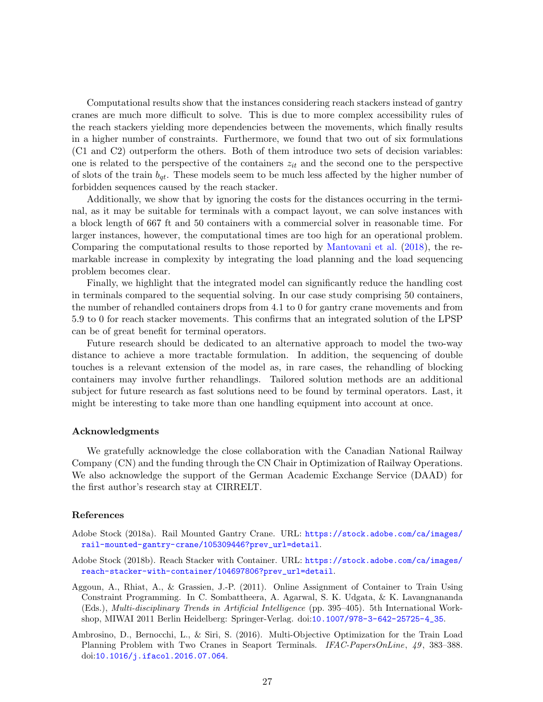Computational results show that the instances considering reach stackers instead of gantry cranes are much more difficult to solve. This is due to more complex accessibility rules of the reach stackers yielding more dependencies between the movements, which finally results in a higher number of constraints. Furthermore, we found that two out of six formulations (C1 and C2) outperform the others. Both of them introduce two sets of decision variables: one is related to the perspective of the containers  $z_{it}$  and the second one to the perspective of slots of the train  $b_{qt}$ . These models seem to be much less affected by the higher number of forbidden sequences caused by the reach stacker.

Additionally, we show that by ignoring the costs for the distances occurring in the terminal, as it may be suitable for terminals with a compact layout, we can solve instances with a block length of 667 ft and 50 containers with a commercial solver in reasonable time. For larger instances, however, the computational times are too high for an operational problem. Comparing the computational results to those reported by [Mantovani et al.](#page-28-1) [\(2018\)](#page-28-1), the remarkable increase in complexity by integrating the load planning and the load sequencing problem becomes clear.

Finally, we highlight that the integrated model can significantly reduce the handling cost in terminals compared to the sequential solving. In our case study comprising 50 containers, the number of rehandled containers drops from 4.1 to 0 for gantry crane movements and from 5.9 to 0 for reach stacker movements. This confirms that an integrated solution of the LPSP can be of great benefit for terminal operators.

Future research should be dedicated to an alternative approach to model the two-way distance to achieve a more tractable formulation. In addition, the sequencing of double touches is a relevant extension of the model as, in rare cases, the rehandling of blocking containers may involve further rehandlings. Tailored solution methods are an additional subject for future research as fast solutions need to be found by terminal operators. Last, it might be interesting to take more than one handling equipment into account at once.

#### Acknowledgments

We gratefully acknowledge the close collaboration with the Canadian National Railway Company (CN) and the funding through the CN Chair in Optimization of Railway Operations. We also acknowledge the support of the German Academic Exchange Service (DAAD) for the first author's research stay at CIRRELT.

#### References

- <span id="page-26-2"></span>Adobe Stock (2018a). Rail Mounted Gantry Crane. URL: [https://stock.adobe.com/ca/images/](https://stock.adobe.com/ca/images/rail-mounted-gantry-crane/105309446?prev_url=detail) [rail-mounted-gantry-crane/105309446?prev\\_url=detail](https://stock.adobe.com/ca/images/rail-mounted-gantry-crane/105309446?prev_url=detail).
- <span id="page-26-3"></span>Adobe Stock (2018b). Reach Stacker with Container. URL: [https://stock.adobe.com/ca/images/](https://stock.adobe.com/ca/images/reach-stacker-with-container/104697806?prev_url=detail) [reach-stacker-with-container/104697806?prev\\_url=detail](https://stock.adobe.com/ca/images/reach-stacker-with-container/104697806?prev_url=detail).
- <span id="page-26-1"></span>Aggoun, A., Rhiat, A., & Grassien, J.-P. (2011). Online Assignment of Container to Train Using Constraint Programming. In C. Sombattheera, A. Agarwal, S. K. Udgata, & K. Lavangnananda (Eds.), Multi-disciplinary Trends in Artificial Intelligence (pp. 395–405). 5th International Workshop, MIWAI 2011 Berlin Heidelberg: Springer-Verlag. doi:[10.1007/978-3-642-25725-4\\_35](http://dx.doi.org/10.1007/978-3-642-25725-4_35).
- <span id="page-26-0"></span>Ambrosino, D., Bernocchi, L., & Siri, S. (2016). Multi-Objective Optimization for the Train Load Planning Problem with Two Cranes in Seaport Terminals. IFAC-PapersOnLine, 49, 383–388. doi:[10.1016/j.ifacol.2016.07.064](http://dx.doi.org/10.1016/j.ifacol.2016.07.064).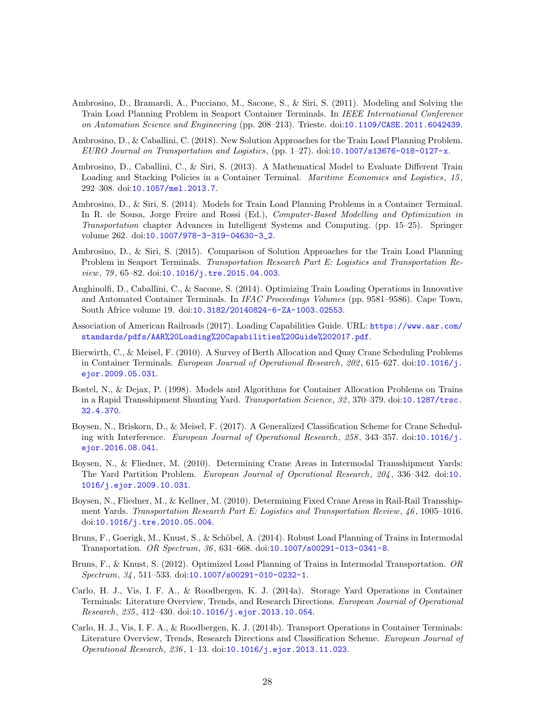- <span id="page-27-1"></span>Ambrosino, D., Bramardi, A., Pucciano, M., Sacone, S., & Siri, S. (2011). Modeling and Solving the Train Load Planning Problem in Seaport Container Terminals. In IEEE International Conference on Automation Science and Engineering (pp. 208–213). Trieste. doi:[10.1109/CASE.2011.6042439](http://dx.doi.org/10.1109/CASE.2011.6042439).
- <span id="page-27-12"></span>Ambrosino, D., & Caballini, C. (2018). New Solution Approaches for the Train Load Planning Problem. EURO Journal on Transportation and Logistics, (pp. 1–27). doi:[10.1007/s13676-018-0127-x](http://dx.doi.org/10.1007/s13676-018-0127-x).
- <span id="page-27-2"></span>Ambrosino, D., Caballini, C., & Siri, S. (2013). A Mathematical Model to Evaluate Different Train Loading and Stacking Policies in a Container Terminal. *Maritime Economics and Logistics*, 15, 292–308. doi:[10.1057/mel.2013.7](http://dx.doi.org/10.1057/mel.2013.7).
- <span id="page-27-13"></span>Ambrosino, D., & Siri, S. (2014). Models for Train Load Planning Problems in a Container Terminal. In R. de Sousa, Jorge Freire and Rossi (Ed.), *Computer-Based Modelling and Optimization in* Transportation chapter Advances in Intelligent Systems and Computing. (pp. 15–25). Springer volume 262. doi:[10.1007/978-3-319-04630-3\\_2](http://dx.doi.org/10.1007/978-3-319-04630-3_2).
- <span id="page-27-14"></span>Ambrosino, D., & Siri, S. (2015). Comparison of Solution Approaches for the Train Load Planning Problem in Seaport Terminals. Transportation Research Part E: Logistics and Transportation Re-view, 79, 65-82. doi:[10.1016/j.tre.2015.04.003](http://dx.doi.org/10.1016/j.tre.2015.04.003).
- <span id="page-27-8"></span>Anghinolfi, D., Caballini, C., & Sacone, S. (2014). Optimizing Train Loading Operations in Innovative and Automated Container Terminals. In IFAC Proceedings Volumes (pp. 9581–9586). Cape Town, South Africe volume 19. doi:[10.3182/20140824-6-ZA-1003.02553](http://dx.doi.org/10.3182/20140824-6-ZA-1003.02553).
- <span id="page-27-15"></span>Association of American Railroads (2017). Loading Capabilities Guide. URL: [https://www.aar.com/](https://www.aar.com/standards/pdfs/AAR%20Loading%20Capabilities%20Guide%202017.pdf) [standards/pdfs/AAR%20Loading%20Capabilities%20Guide%202017.pdf](https://www.aar.com/standards/pdfs/AAR%20Loading%20Capabilities%20Guide%202017.pdf).
- <span id="page-27-9"></span>Bierwirth, C., & Meisel, F. (2010). A Survey of Berth Allocation and Quay Crane Scheduling Problems in Container Terminals. European Journal of Operational Research, 202, 615-627. doi:[10.1016/j.](http://dx.doi.org/10.1016/j.ejor.2009.05.031) [ejor.2009.05.031](http://dx.doi.org/10.1016/j.ejor.2009.05.031).
- <span id="page-27-6"></span>Bostel, N., & Dejax, P. (1998). Models and Algorithms for Container Allocation Problems on Trains in a Rapid Transshipment Shunting Yard. Transportation Science, 32, 370-379. doi:[10.1287/trsc.](http://dx.doi.org/10.1287/trsc.32.4.370) [32.4.370](http://dx.doi.org/10.1287/trsc.32.4.370).
- <span id="page-27-10"></span>Boysen, N., Briskorn, D., & Meisel, F. (2017). A Generalized Classification Scheme for Crane Schedul-ing with Interference. European Journal of Operational Research, 258, 343-357. doi:[10.1016/j.](http://dx.doi.org/10.1016/j.ejor.2016.08.041) [ejor.2016.08.041](http://dx.doi.org/10.1016/j.ejor.2016.08.041).
- <span id="page-27-11"></span>Boysen, N., & Fliedner, M. (2010). Determining Crane Areas in Intermodal Transshipment Yards: The Yard Partition Problem. *European Journal of Operational Research*, 204, 336–342. doi:[10.](http://dx.doi.org/10.1016/j.ejor.2009.10.031) [1016/j.ejor.2009.10.031](http://dx.doi.org/10.1016/j.ejor.2009.10.031).
- <span id="page-27-5"></span>Boysen, N., Fliedner, M., & Kellner, M. (2010). Determining Fixed Crane Areas in Rail-Rail Transshipment Yards. Transportation Research Part E: Logistics and Transportation Review, 46, 1005–1016. doi:[10.1016/j.tre.2010.05.004](http://dx.doi.org/10.1016/j.tre.2010.05.004).
- <span id="page-27-7"></span>Bruns, F., Goerigk, M., Knust, S., & Schöbel, A. (2014). Robust Load Planning of Trains in Intermodal Transportation. OR Spectrum, 36 , 631–668. doi:[10.1007/s00291-013-0341-8](http://dx.doi.org/10.1007/s00291-013-0341-8).
- <span id="page-27-0"></span>Bruns, F., & Knust, S. (2012). Optimized Load Planning of Trains in Intermodal Transportation. OR  $Spectrum, 34, 511–533. \text{ doi: } 10.1007/\text{s}00291-010-0232-1.$
- <span id="page-27-3"></span>Carlo, H. J., Vis, I. F. A., & Roodbergen, K. J. (2014a). Storage Yard Operations in Container Terminals: Literature Overview, Trends, and Research Directions. European Journal of Operational Research, 235 , 412–430. doi:[10.1016/j.ejor.2013.10.054](http://dx.doi.org/10.1016/j.ejor.2013.10.054).
- <span id="page-27-4"></span>Carlo, H. J., Vis, I. F. A., & Roodbergen, K. J. (2014b). Transport Operations in Container Terminals: Literature Overview, Trends, Research Directions and Classification Scheme. European Journal of Operational Research, 236 , 1–13. doi:[10.1016/j.ejor.2013.11.023](http://dx.doi.org/10.1016/j.ejor.2013.11.023).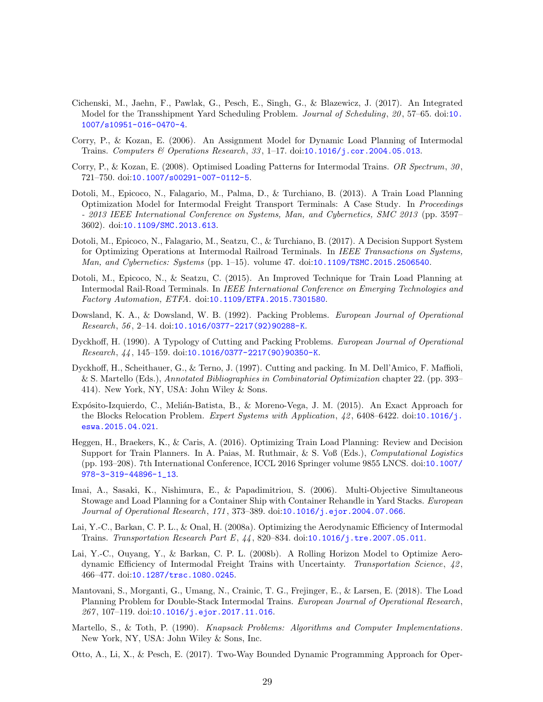- <span id="page-28-10"></span>Cichenski, M., Jaehn, F., Pawlak, G., Pesch, E., Singh, G., & Blazewicz, J. (2017). An Integrated Model for the Transshipment Yard Scheduling Problem. Journal of Scheduling, 20 , 57–65. doi:[10.](http://dx.doi.org/10.1007/s10951-016-0470-4) [1007/s10951-016-0470-4](http://dx.doi.org/10.1007/s10951-016-0470-4).
- <span id="page-28-2"></span>Corry, P., & Kozan, E. (2006). An Assignment Model for Dynamic Load Planning of Intermodal Trains. Computers & Operations Research, 33, 1–17. doi:[10.1016/j.cor.2004.05.013](http://dx.doi.org/10.1016/j.cor.2004.05.013).
- <span id="page-28-11"></span>Corry, P., & Kozan, E. (2008). Optimised Loading Patterns for Intermodal Trains. OR Spectrum,  $30$ , 721–750. doi:[10.1007/s00291-007-0112-5](http://dx.doi.org/10.1007/s00291-007-0112-5).
- <span id="page-28-0"></span>Dotoli, M., Epicoco, N., Falagario, M., Palma, D., & Turchiano, B. (2013). A Train Load Planning Optimization Model for Intermodal Freight Transport Terminals: A Case Study. In Proceedings - 2013 IEEE International Conference on Systems, Man, and Cybernetics, SMC 2013 (pp. 3597– 3602). doi:[10.1109/SMC.2013.613](http://dx.doi.org/10.1109/SMC.2013.613).
- <span id="page-28-9"></span>Dotoli, M., Epicoco, N., Falagario, M., Seatzu, C., & Turchiano, B. (2017). A Decision Support System for Optimizing Operations at Intermodal Railroad Terminals. In IEEE Transactions on Systems, Man, and Cybernetics: Systems (pp. 1–15). volume 47. doi:[10.1109/TSMC.2015.2506540](http://dx.doi.org/10.1109/TSMC.2015.2506540).
- <span id="page-28-8"></span>Dotoli, M., Epicoco, N., & Seatzu, C. (2015). An Improved Technique for Train Load Planning at Intermodal Rail-Road Terminals. In IEEE International Conference on Emerging Technologies and Factory Automation, ETFA. doi:[10.1109/ETFA.2015.7301580](http://dx.doi.org/10.1109/ETFA.2015.7301580).
- <span id="page-28-3"></span>Dowsland, K. A., & Dowsland, W. B. (1992). Packing Problems. European Journal of Operational Research, 56 , 2–14. doi:[10.1016/0377-2217\(92\)90288-K](http://dx.doi.org/10.1016/0377-2217(92)90288-K).
- <span id="page-28-6"></span>Dyckhoff, H. (1990). A Typology of Cutting and Packing Problems. European Journal of Operational Research, 44 , 145–159. doi:[10.1016/0377-2217\(90\)90350-K](http://dx.doi.org/10.1016/0377-2217(90)90350-K).
- <span id="page-28-4"></span>Dyckhoff, H., Scheithauer, G., & Terno, J. (1997). Cutting and packing. In M. Dell'Amico, F. Maffioli, & S. Martello (Eds.), Annotated Bibliographies in Combinatorial Optimization chapter 22. (pp. 393– 414). New York, NY, USA: John Wiley & Sons.
- <span id="page-28-15"></span>Expósito-Izquierdo, C., Melián-Batista, B., & Moreno-Vega, J. M. (2015). An Exact Approach for the Blocks Relocation Problem. Expert Systems with Application, 42, 6408–6422. doi:[10.1016/j.](http://dx.doi.org/10.1016/j.eswa.2015.04.021) [eswa.2015.04.021](http://dx.doi.org/10.1016/j.eswa.2015.04.021).
- <span id="page-28-7"></span>Heggen, H., Braekers, K., & Caris, A. (2016). Optimizing Train Load Planning: Review and Decision Support for Train Planners. In A. Paias, M. Ruthmair, & S. Voß (Eds.), Computational Logistics (pp. 193–208). 7th International Conference, ICCL 2016 Springer volume 9855 LNCS. doi:[10.1007/](http://dx.doi.org/10.1007/978-3-319-44896-1_13) [978-3-319-44896-1\\_13](http://dx.doi.org/10.1007/978-3-319-44896-1_13).
- <span id="page-28-14"></span>Imai, A., Sasaki, K., Nishimura, E., & Papadimitriou, S. (2006). Multi-Objective Simultaneous Stowage and Load Planning for a Container Ship with Container Rehandle in Yard Stacks. European Journal of Operational Research, 171 , 373–389. doi:[10.1016/j.ejor.2004.07.066](http://dx.doi.org/10.1016/j.ejor.2004.07.066).
- <span id="page-28-12"></span>Lai, Y.-C., Barkan, C. P. L., & Onal, H. (2008a). Optimizing the Aerodynamic Efficiency of Intermodal Trains. Transportation Research Part E, 44 , 820–834. doi:[10.1016/j.tre.2007.05.011](http://dx.doi.org/10.1016/j.tre.2007.05.011).
- <span id="page-28-13"></span>Lai, Y.-C., Ouyang, Y., & Barkan, C. P. L. (2008b). A Rolling Horizon Model to Optimize Aerodynamic Efficiency of Intermodal Freight Trains with Uncertainty. Transportation Science,  $\{2,$ 466–477. doi:[10.1287/trsc.1080.0245](http://dx.doi.org/10.1287/trsc.1080.0245).
- <span id="page-28-1"></span>Mantovani, S., Morganti, G., Umang, N., Crainic, T. G., Frejinger, E., & Larsen, E. (2018). The Load Planning Problem for Double-Stack Intermodal Trains. European Journal of Operational Research, 267 , 107–119. doi:[10.1016/j.ejor.2017.11.016](http://dx.doi.org/10.1016/j.ejor.2017.11.016).
- <span id="page-28-5"></span>Martello, S., & Toth, P. (1990). Knapsack Problems: Algorithms and Computer Implementations. New York, NY, USA: John Wiley & Sons, Inc.
- <span id="page-28-16"></span>Otto, A., Li, X., & Pesch, E. (2017). Two-Way Bounded Dynamic Programming Approach for Oper-